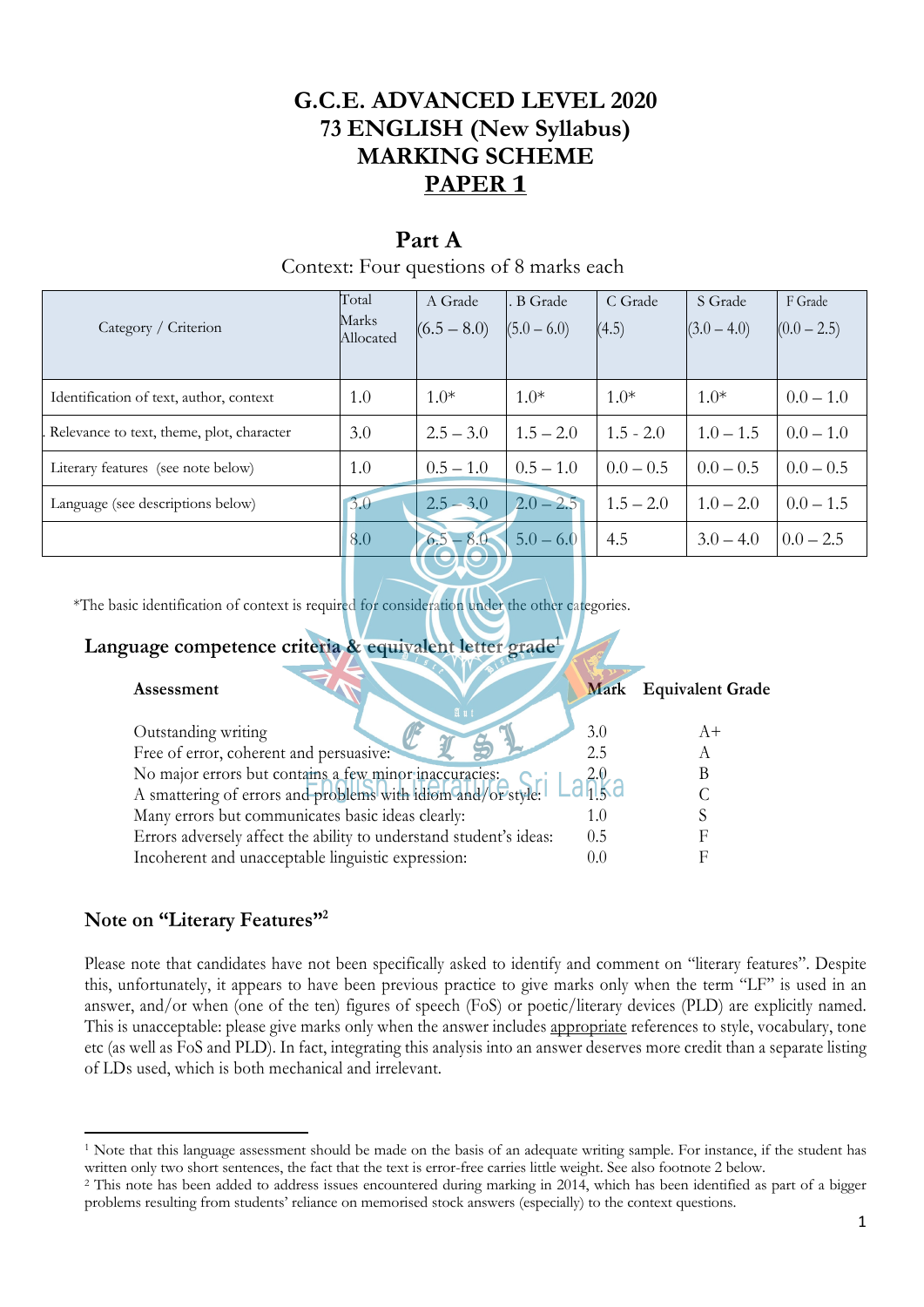# **G.C.E. ADVANCED LEVEL 2020 73 ENGLISH (New Syllabus) MARKING SCHEME PAPER 1**

# **Part A**

### Context: Four questions of 8 marks each

| Category / Criterion                      | Total<br>Marks<br>Allocated | A Grade<br>$(6.5 - 8.0)$ | B Grade<br>$(5.0 - 6.0)$ | C Grade<br>(4.5) | S Grade<br>$(3.0 - 4.0)$ | F Grade<br>$(0.0 - 2.5)$ |
|-------------------------------------------|-----------------------------|--------------------------|--------------------------|------------------|--------------------------|--------------------------|
| Identification of text, author, context   | 1.0                         | $1.0*$                   | $1.0*$                   | $1.0*$           | $1.0*$                   | $0.0 - 1.0$              |
| Relevance to text, theme, plot, character | 3.0                         | $2.5 - 3.0$              | $1.5 - 2.0$              | $1.5 - 2.0$      | $1.0 - 1.5$              | $0.0 - 1.0$              |
| Literary features (see note below)        | 1.0                         | $0.5 - 1.0$              | $0.5 - 1.0$              | $0.0 - 0.5$      | $0.0 - 0.5$              | $0.0 - 0.5$              |
| Language (see descriptions below)         | 3.0                         | $2.5 - 3.0$              | $2.0 - 2.5$              | $1.5 - 2.0$      | $1.0 - 2.0$              | $0.0 - 1.5$              |
|                                           | 8.0                         | $6.5 - 8.0$              | $5.0 - 6.0$              | 4.5              | $3.0 - 4.0$              | $0.0 - 2.5$              |

\*The basic identification of context is required for consideration under the other categories.

# **Language competence criteria & equivalent letter grade<sup>1</sup>**

| Assessment<br>$\mathfrak{A}$ 11                                    |       | Mark Equivalent Grade |
|--------------------------------------------------------------------|-------|-----------------------|
| Outstanding writing                                                | 3.0   | $A+$                  |
| Free of error, coherent and persuasive:                            | 2.5   |                       |
| No major errors but contains a few minor inaccuracies:             |       |                       |
| A smattering of errors and problems with idiom and/or style.       |       |                       |
| Many errors but communicates basic ideas clearly:                  | 1.0   |                       |
| Errors adversely affect the ability to understand student's ideas: | 0.5   |                       |
| Incoherent and unacceptable linguistic expression:                 | (0.0) |                       |

# **Note on "Literary Features"<sup>2</sup>**

Please note that candidates have not been specifically asked to identify and comment on "literary features". Despite this, unfortunately, it appears to have been previous practice to give marks only when the term "LF" is used in an answer, and/or when (one of the ten) figures of speech (FoS) or poetic/literary devices (PLD) are explicitly named. This is unacceptable: please give marks only when the answer includes appropriate references to style, vocabulary, tone etc (as well as FoS and PLD). In fact, integrating this analysis into an answer deserves more credit than a separate listing of LDs used, which is both mechanical and irrelevant.

<sup>1</sup> Note that this language assessment should be made on the basis of an adequate writing sample. For instance, if the student has written only two short sentences, the fact that the text is error-free carries little weight. See also footnote 2 below.

<sup>&</sup>lt;sup>2</sup> This note has been added to address issues encountered during marking in 2014, which has been identified as part of a bigger problems resulting from students' reliance on memorised stock answers (especially) to the context questions.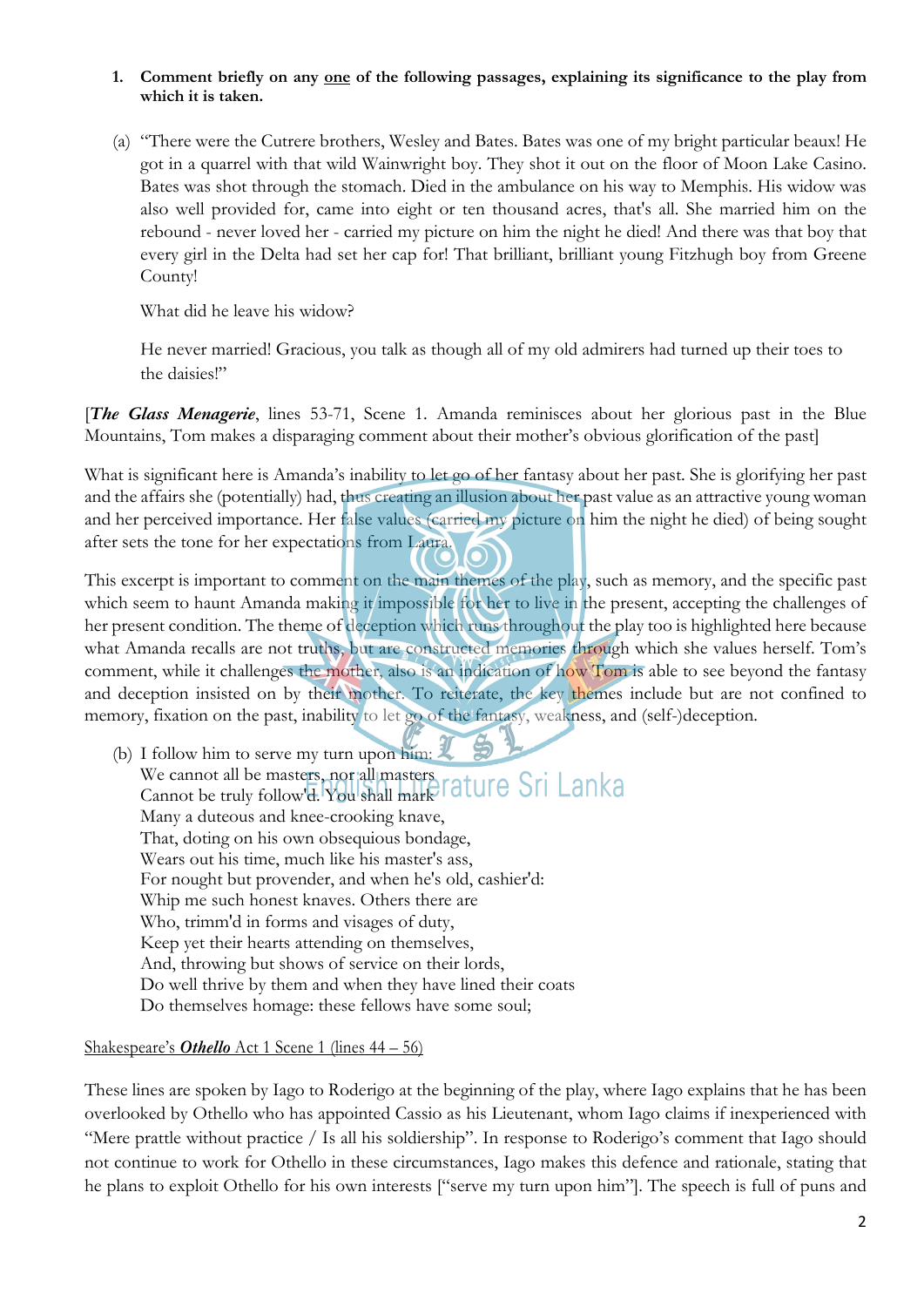#### **1. Comment briefly on any one of the following passages, explaining its significance to the play from which it is taken.**

(a) "There were the Cutrere brothers, Wesley and Bates. Bates was one of my bright particular beaux! He got in a quarrel with that wild Wainwright boy. They shot it out on the floor of Moon Lake Casino. Bates was shot through the stomach. Died in the ambulance on his way to Memphis. His widow was also well provided for, came into eight or ten thousand acres, that's all. She married him on the rebound - never loved her - carried my picture on him the night he died! And there was that boy that every girl in the Delta had set her cap for! That brilliant, brilliant young Fitzhugh boy from Greene County!

What did he leave his widow?

He never married! Gracious, you talk as though all of my old admirers had turned up their toes to the daisies!"

[*The Glass Menagerie*, lines 53-71, Scene 1. Amanda reminisces about her glorious past in the Blue Mountains, Tom makes a disparaging comment about their mother's obvious glorification of the past]

What is significant here is Amanda's inability to let go of her fantasy about her past. She is glorifying her past and the affairs she (potentially) had, thus creating an illusion about her past value as an attractive young woman and her perceived importance. Her false values (carried my picture on him the night he died) of being sought after sets the tone for her expectations from Laura.

This excerpt is important to comment on the main themes of the play, such as memory, and the specific past which seem to haunt Amanda making it impossible for her to live in the present, accepting the challenges of her present condition. The theme of deception which runs throughout the play too is highlighted here because what Amanda recalls are not truths, but are constructed memories through which she values herself. Tom's comment, while it challenges the mother, also is an indication of how Tom is able to see beyond the fantasy and deception insisted on by their mother. To reiterate, the key themes include but are not confined to memory, fixation on the past, inability to let go of the fantasy, weakness, and (self-)deception.

(b) I follow him to serve my turn upon him: We cannot all be masters, nor all masters Cannot be truly follow'd. You shall mark Many a duteous and knee-crooking knave, That, doting on his own obsequious bondage, Wears out his time, much like his master's ass, For nought but provender, and when he's old, cashier'd: Whip me such honest knaves. Others there are Who, trimm'd in forms and visages of duty, Keep yet their hearts attending on themselves, And, throwing but shows of service on their lords, Do well thrive by them and when they have lined their coats Do themselves homage: these fellows have some soul;

#### Shakespeare's *Othello* Act 1 Scene 1 (lines 44 – 56)

These lines are spoken by Iago to Roderigo at the beginning of the play, where Iago explains that he has been overlooked by Othello who has appointed Cassio as his Lieutenant, whom Iago claims if inexperienced with "Mere prattle without practice / Is all his soldiership". In response to Roderigo's comment that Iago should not continue to work for Othello in these circumstances, Iago makes this defence and rationale, stating that he plans to exploit Othello for his own interests ["serve my turn upon him"]. The speech is full of puns and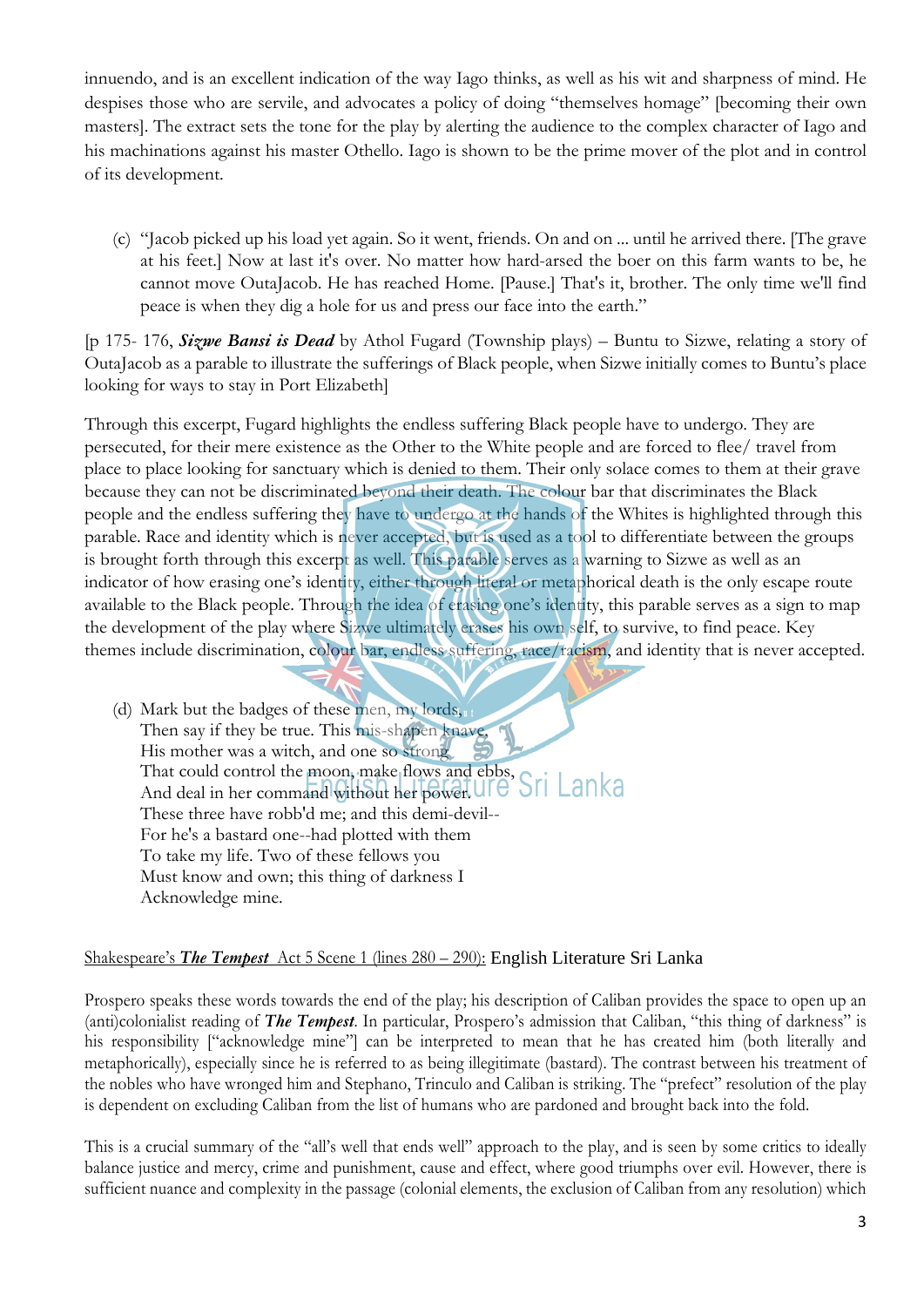innuendo, and is an excellent indication of the way Iago thinks, as well as his wit and sharpness of mind. He despises those who are servile, and advocates a policy of doing "themselves homage" [becoming their own masters]. The extract sets the tone for the play by alerting the audience to the complex character of Iago and his machinations against his master Othello. Iago is shown to be the prime mover of the plot and in control of its development.

(c) "Jacob picked up his load yet again. So it went, friends. On and on ... until he arrived there. [The grave at his feet.] Now at last it's over. No matter how hard-arsed the boer on this farm wants to be, he cannot move OutaJacob. He has reached Home. [Pause.] That's it, brother. The only time we'll find peace is when they dig a hole for us and press our face into the earth."

[p 175- 176, *Sizwe Bansi is Dead* by Athol Fugard (Township plays) – Buntu to Sizwe, relating a story of OutaJacob as a parable to illustrate the sufferings of Black people, when Sizwe initially comes to Buntu's place looking for ways to stay in Port Elizabeth]

Through this excerpt, Fugard highlights the endless suffering Black people have to undergo. They are persecuted, for their mere existence as the Other to the White people and are forced to flee/ travel from place to place looking for sanctuary which is denied to them. Their only solace comes to them at their grave because they can not be discriminated beyond their death. The colour bar that discriminates the Black people and the endless suffering they have to undergo at the hands of the Whites is highlighted through this parable. Race and identity which is never accepted, but is used as a tool to differentiate between the groups is brought forth through this excerpt as well. This parable serves as a warning to Sizwe as well as an indicator of how erasing one's identity, either through literal or metaphorical death is the only escape route available to the Black people. Through the idea of erasing one's identity, this parable serves as a sign to map the development of the play where Sizwe ultimately erases his own self, to survive, to find peace. Key themes include discrimination, colour bar, endless suffering, race/racism, and identity that is never accepted.

(d) Mark but the badges of these men, my lords, Then say if they be true. This mis-shapen knave, His mother was a witch, and one so strong That could control the moon, make flows and ebbs, And deal in her command without her power. These three have robb'd me; and this demi-devil-- For he's a bastard one--had plotted with them To take my life. Two of these fellows you Must know and own; this thing of darkness I Acknowledge mine.

#### Shakespeare's *The Tempest* Act 5 Scene 1 (lines 280 – 290): English Literature Sri Lanka

Prospero speaks these words towards the end of the play; his description of Caliban provides the space to open up an (anti)colonialist reading of *The Tempest*. In particular, Prospero's admission that Caliban, "this thing of darkness" is his responsibility ["acknowledge mine"] can be interpreted to mean that he has created him (both literally and metaphorically), especially since he is referred to as being illegitimate (bastard). The contrast between his treatment of the nobles who have wronged him and Stephano, Trinculo and Caliban is striking. The "prefect" resolution of the play is dependent on excluding Caliban from the list of humans who are pardoned and brought back into the fold.

This is a crucial summary of the "all's well that ends well" approach to the play, and is seen by some critics to ideally balance justice and mercy, crime and punishment, cause and effect, where good triumphs over evil. However, there is sufficient nuance and complexity in the passage (colonial elements, the exclusion of Caliban from any resolution) which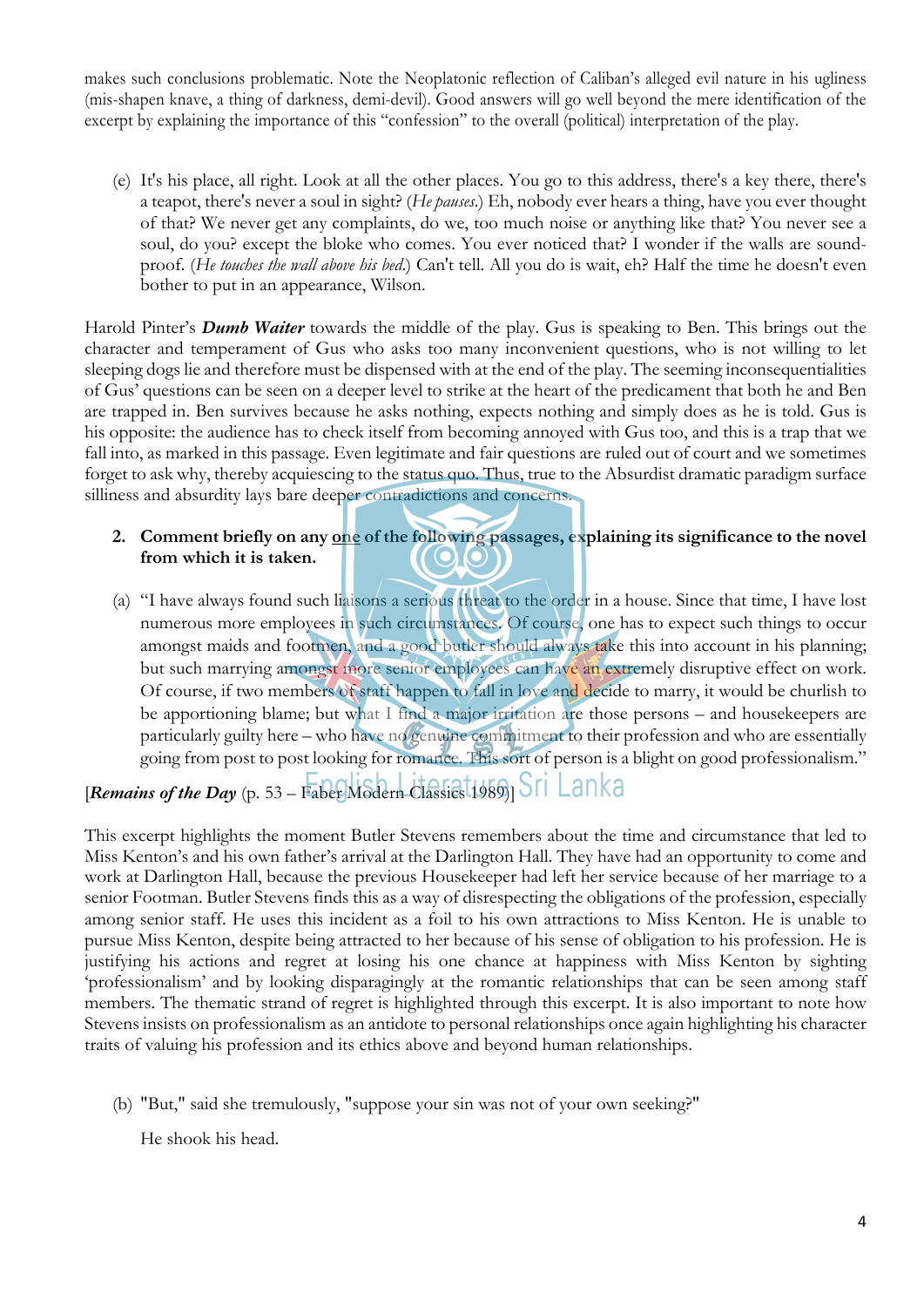makes such conclusions problematic. Note the Neoplatonic reflection of Caliban's alleged evil nature in his ugliness (mis-shapen knave, a thing of darkness, demi-devil). Good answers will go well beyond the mere identification of the excerpt by explaining the importance of this "confession" to the overall (political) interpretation of the play.

(e) It's his place, all right. Look at all the other places. You go to this address, there's a key there, there's a teapot, there's never a soul in sight? (*He pauses*.) Eh, nobody ever hears a thing, have you ever thought of that? We never get any complaints, do we, too much noise or anything like that? You never see a soul, do you? except the bloke who comes. You ever noticed that? I wonder if the walls are soundproof. (*He touches the wall above his bed*.) Can't tell. All you do is wait, eh? Half the time he doesn't even bother to put in an appearance, Wilson.

Harold Pinter's *Dumb Waiter* towards the middle of the play. Gus is speaking to Ben. This brings out the character and temperament of Gus who asks too many inconvenient questions, who is not willing to let sleeping dogs lie and therefore must be dispensed with at the end of the play. The seeming inconsequentialities of Gus' questions can be seen on a deeper level to strike at the heart of the predicament that both he and Ben are trapped in. Ben survives because he asks nothing, expects nothing and simply does as he is told. Gus is his opposite: the audience has to check itself from becoming annoyed with Gus too, and this is a trap that we fall into, as marked in this passage. Even legitimate and fair questions are ruled out of court and we sometimes forget to ask why, thereby acquiescing to the status quo. Thus, true to the Absurdist dramatic paradigm surface silliness and absurdity lays bare deeper contradictions and concerns.

#### **2. Comment briefly on any one of the following passages, explaining its significance to the novel from which it is taken.**   $\mathbf{C}(\mathbf{O})$

(a) "I have always found such liaisons a serious threat to the order in a house. Since that time, I have lost numerous more employees in such circumstances. Of course, one has to expect such things to occur amongst maids and footmen, and a good butler should always take this into account in his planning; but such marrying amongst more senior employees can have an extremely disruptive effect on work. Of course, if two members of staff happen to fall in love and decide to marry, it would be churlish to be apportioning blame; but what I find a major irritation are those persons – and housekeepers are particularly guilty here – who have no genuine commitment to their profession and who are essentially going from post to post looking for romance. This sort of person is a blight on good professionalism."

# $[Remains of the Day (p. 53 - Fase Mödern Classiest 1989]$  Sri Lanka

This excerpt highlights the moment Butler Stevens remembers about the time and circumstance that led to Miss Kenton's and his own father's arrival at the Darlington Hall. They have had an opportunity to come and work at Darlington Hall, because the previous Housekeeper had left her service because of her marriage to a senior Footman. Butler Stevens finds this as a way of disrespecting the obligations of the profession, especially among senior staff. He uses this incident as a foil to his own attractions to Miss Kenton. He is unable to pursue Miss Kenton, despite being attracted to her because of his sense of obligation to his profession. He is justifying his actions and regret at losing his one chance at happiness with Miss Kenton by sighting 'professionalism' and by looking disparagingly at the romantic relationships that can be seen among staff members. The thematic strand of regret is highlighted through this excerpt. It is also important to note how Stevens insists on professionalism as an antidote to personal relationships once again highlighting his character traits of valuing his profession and its ethics above and beyond human relationships.

(b) "But," said she tremulously, "suppose your sin was not of your own seeking?"

He shook his head.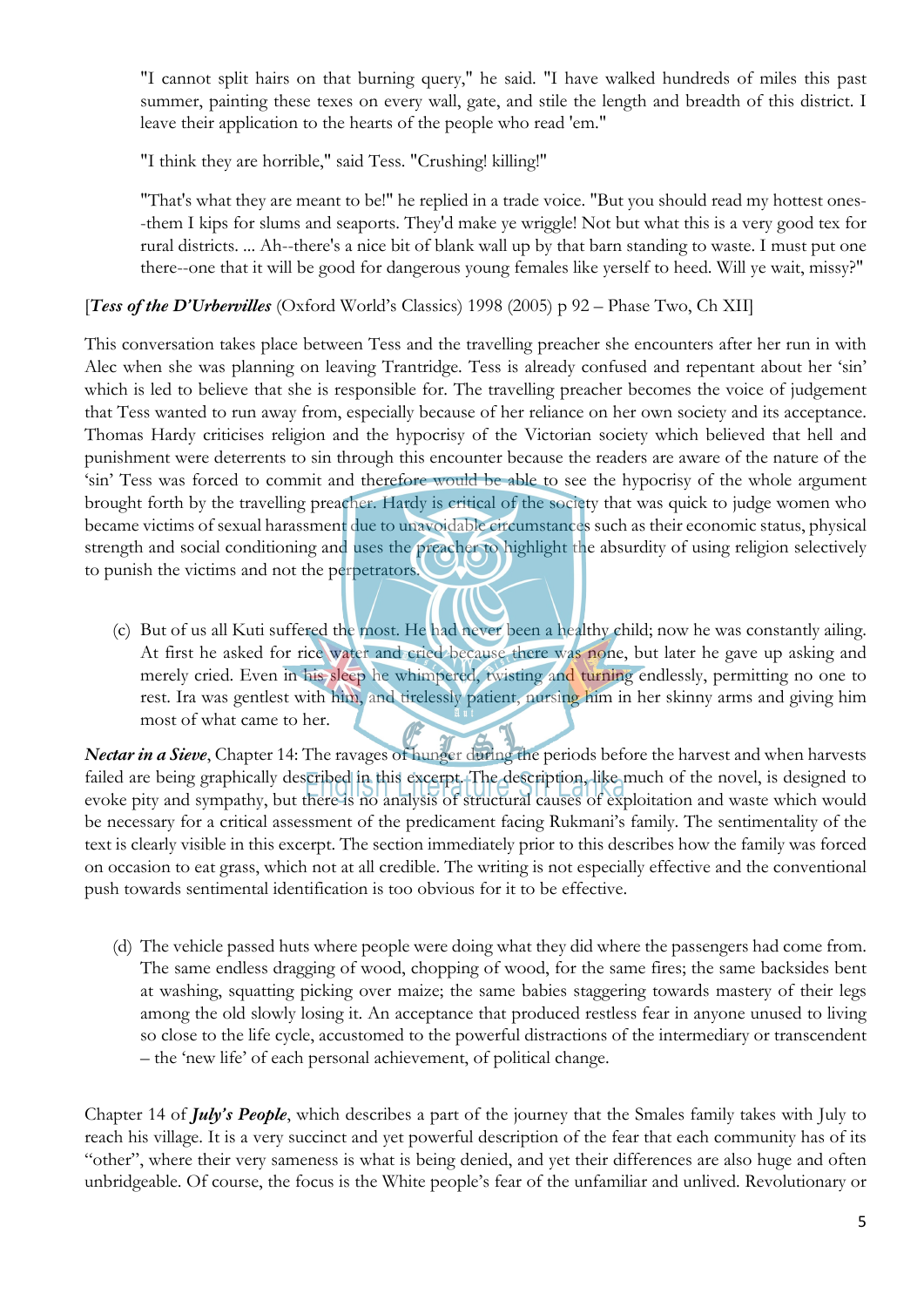"I cannot split hairs on that burning query," he said. "I have walked hundreds of miles this past summer, painting these texes on every wall, gate, and stile the length and breadth of this district. I leave their application to the hearts of the people who read 'em."

"I think they are horrible," said Tess. "Crushing! killing!"

"That's what they are meant to be!" he replied in a trade voice. "But you should read my hottest ones- -them I kips for slums and seaports. They'd make ye wriggle! Not but what this is a very good tex for rural districts. ... Ah--there's a nice bit of blank wall up by that barn standing to waste. I must put one there--one that it will be good for dangerous young females like yerself to heed. Will ye wait, missy?"

## [*Tess of the D'Urbervilles* (Oxford World's Classics) 1998 (2005) p 92 – Phase Two, Ch XII]

This conversation takes place between Tess and the travelling preacher she encounters after her run in with Alec when she was planning on leaving Trantridge. Tess is already confused and repentant about her 'sin' which is led to believe that she is responsible for. The travelling preacher becomes the voice of judgement that Tess wanted to run away from, especially because of her reliance on her own society and its acceptance. Thomas Hardy criticises religion and the hypocrisy of the Victorian society which believed that hell and punishment were deterrents to sin through this encounter because the readers are aware of the nature of the 'sin' Tess was forced to commit and therefore would be able to see the hypocrisy of the whole argument brought forth by the travelling preacher. Hardy is critical of the society that was quick to judge women who became victims of sexual harassment due to unavoidable circumstances such as their economic status, physical strength and social conditioning and uses the preacher to highlight the absurdity of using religion selectively to punish the victims and not the perpetrators.

(c) But of us all Kuti suffered the most. He had never been a healthy child; now he was constantly ailing. At first he asked for rice water and cried because there was none, but later he gave up asking and merely cried. Even in his sleep he whimpered, twisting and turning endlessly, permitting no one to rest. Ira was gentlest with him, and tirelessly patient, nursing him in her skinny arms and giving him most of what came to her.

*Nectar in a Sieve*, Chapter 14: The ravages of hunger during the periods before the harvest and when harvests failed are being graphically described in this excerpt. The description, like much of the novel, is designed to evoke pity and sympathy, but there is no analysis of structural causes of exploitation and waste which would be necessary for a critical assessment of the predicament facing Rukmani's family. The sentimentality of the text is clearly visible in this excerpt. The section immediately prior to this describes how the family was forced on occasion to eat grass, which not at all credible. The writing is not especially effective and the conventional push towards sentimental identification is too obvious for it to be effective.

(d) The vehicle passed huts where people were doing what they did where the passengers had come from. The same endless dragging of wood, chopping of wood, for the same fires; the same backsides bent at washing, squatting picking over maize; the same babies staggering towards mastery of their legs among the old slowly losing it. An acceptance that produced restless fear in anyone unused to living so close to the life cycle, accustomed to the powerful distractions of the intermediary or transcendent – the 'new life' of each personal achievement, of political change.

Chapter 14 of *July's People*, which describes a part of the journey that the Smales family takes with July to reach his village. It is a very succinct and yet powerful description of the fear that each community has of its "other", where their very sameness is what is being denied, and yet their differences are also huge and often unbridgeable. Of course, the focus is the White people's fear of the unfamiliar and unlived. Revolutionary or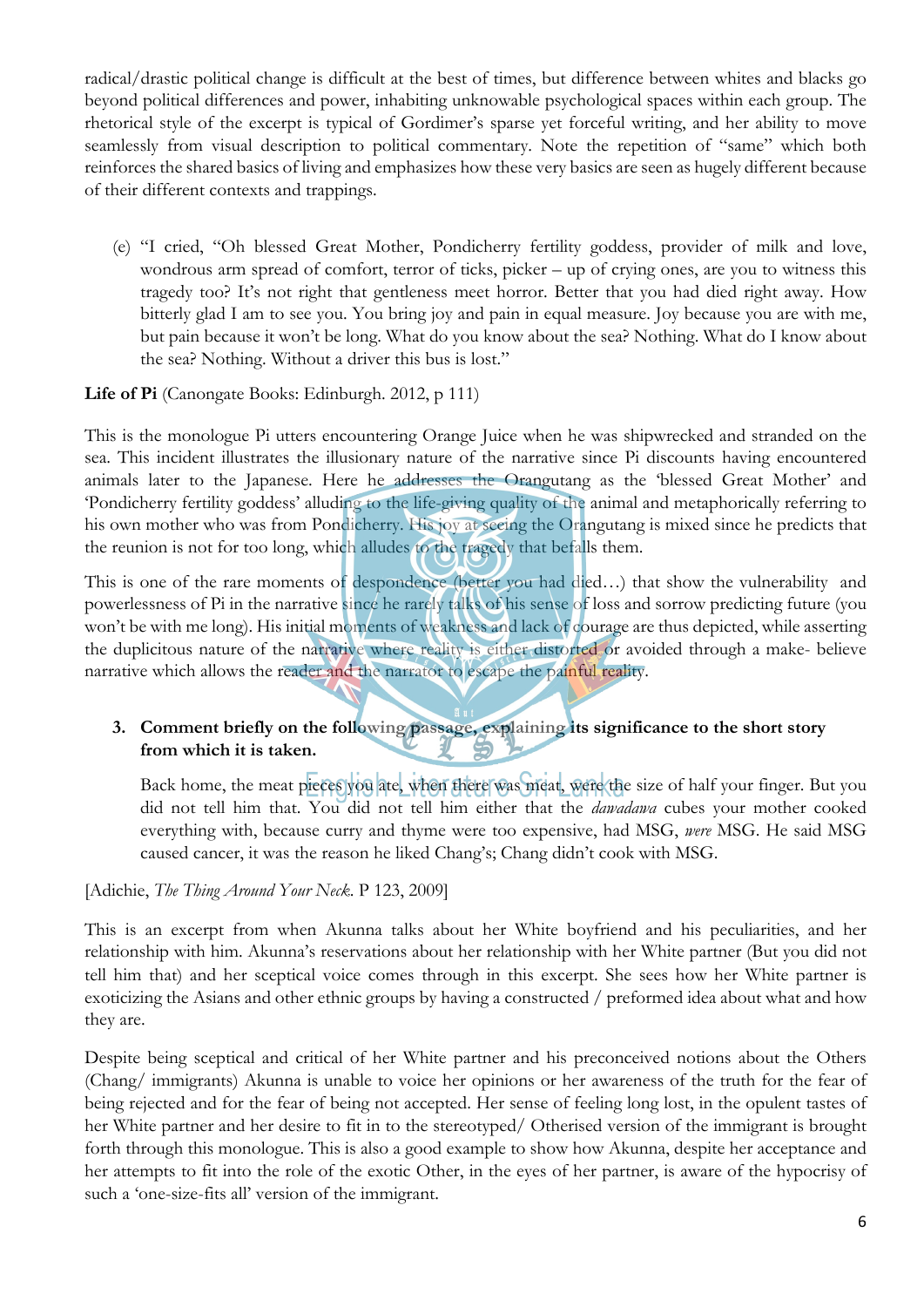radical/drastic political change is difficult at the best of times, but difference between whites and blacks go beyond political differences and power, inhabiting unknowable psychological spaces within each group. The rhetorical style of the excerpt is typical of Gordimer's sparse yet forceful writing, and her ability to move seamlessly from visual description to political commentary. Note the repetition of "same" which both reinforces the shared basics of living and emphasizes how these very basics are seen as hugely different because of their different contexts and trappings.

(e) "I cried, "Oh blessed Great Mother, Pondicherry fertility goddess, provider of milk and love, wondrous arm spread of comfort, terror of ticks, picker – up of crying ones, are you to witness this tragedy too? It's not right that gentleness meet horror. Better that you had died right away. How bitterly glad I am to see you. You bring joy and pain in equal measure. Joy because you are with me, but pain because it won't be long. What do you know about the sea? Nothing. What do I know about the sea? Nothing. Without a driver this bus is lost."

**Life of Pi** (Canongate Books: Edinburgh. 2012, p 111)

This is the monologue Pi utters encountering Orange Juice when he was shipwrecked and stranded on the sea. This incident illustrates the illusionary nature of the narrative since Pi discounts having encountered animals later to the Japanese. Here he addresses the Orangutang as the 'blessed Great Mother' and 'Pondicherry fertility goddess' alluding to the life-giving quality of the animal and metaphorically referring to his own mother who was from Pondicherry. His joy at seeing the Orangutang is mixed since he predicts that the reunion is not for too long, which alludes to the tragedy that befalls them.

This is one of the rare moments of despondence (better you had died…) that show the vulnerability and powerlessness of Pi in the narrative since he rarely talks of his sense of loss and sorrow predicting future (you won't be with me long). His initial moments of weakness and lack of courage are thus depicted, while asserting the duplicitous nature of the narrative where reality is either distorted or avoided through a make- believe narrative which allows the reader and the narrator to escape the painful reality.

# **3. Comment briefly on the following passage, explaining its significance to the short story from which it is taken.**

Back home, the meat pieces you ate, when there was meat, were the size of half your finger. But you did not tell him that. You did not tell him either that the *dawadawa* cubes your mother cooked everything with, because curry and thyme were too expensive, had MSG, *were* MSG. He said MSG caused cancer, it was the reason he liked Chang's; Chang didn't cook with MSG.

[Adichie, *The Thing Around Your Neck*. P 123, 2009]

This is an excerpt from when Akunna talks about her White boyfriend and his peculiarities, and her relationship with him. Akunna's reservations about her relationship with her White partner (But you did not tell him that) and her sceptical voice comes through in this excerpt. She sees how her White partner is exoticizing the Asians and other ethnic groups by having a constructed / preformed idea about what and how they are.

Despite being sceptical and critical of her White partner and his preconceived notions about the Others (Chang/ immigrants) Akunna is unable to voice her opinions or her awareness of the truth for the fear of being rejected and for the fear of being not accepted. Her sense of feeling long lost, in the opulent tastes of her White partner and her desire to fit in to the stereotyped/ Otherised version of the immigrant is brought forth through this monologue. This is also a good example to show how Akunna, despite her acceptance and her attempts to fit into the role of the exotic Other, in the eyes of her partner, is aware of the hypocrisy of such a 'one-size-fits all' version of the immigrant.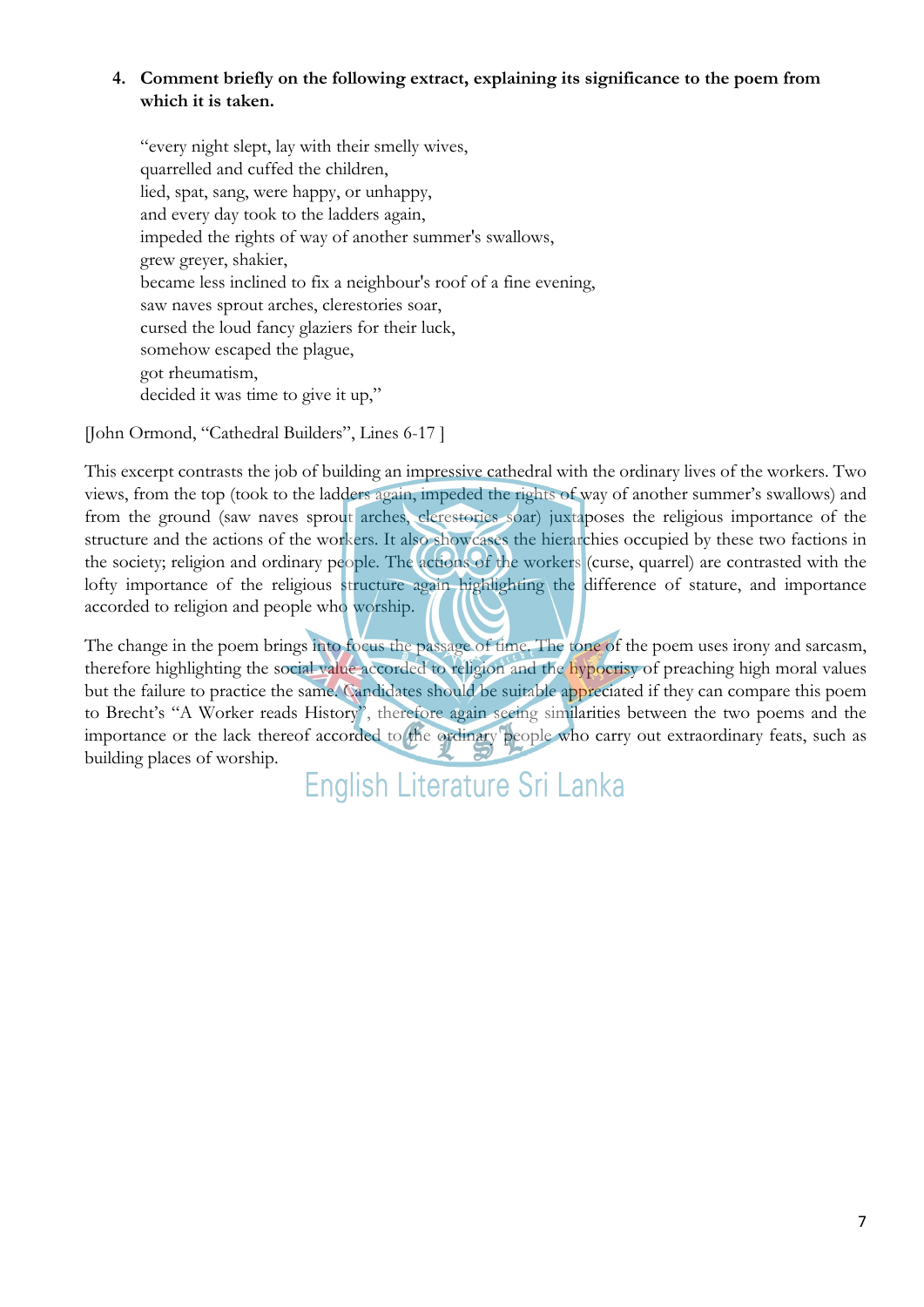## **4. Comment briefly on the following extract, explaining its significance to the poem from which it is taken.**

"every night slept, lay with their smelly wives, quarrelled and cuffed the children, lied, spat, sang, were happy, or unhappy, and every day took to the ladders again, impeded the rights of way of another summer's swallows, grew greyer, shakier, became less inclined to fix a neighbour's roof of a fine evening, saw naves sprout arches, clerestories soar, cursed the loud fancy glaziers for their luck, somehow escaped the plague, got rheumatism, decided it was time to give it up,"

[John Ormond, "Cathedral Builders", Lines 6-17 ]

This excerpt contrasts the job of building an impressive cathedral with the ordinary lives of the workers. Two views, from the top (took to the ladders again, impeded the rights of way of another summer's swallows) and from the ground (saw naves sprout arches, clerestories soar) juxtaposes the religious importance of the structure and the actions of the workers. It also showcases the hierarchies occupied by these two factions in the society; religion and ordinary people. The actions of the workers (curse, quarrel) are contrasted with the lofty importance of the religious structure again highlighting the difference of stature, and importance accorded to religion and people who worship.

The change in the poem brings into focus the passage of time. The tone of the poem uses irony and sarcasm, therefore highlighting the social value accorded to religion and the hypocrisy of preaching high moral values but the failure to practice the same. Candidates should be suitable appreciated if they can compare this poem to Brecht's "A Worker reads History", therefore again seeing similarities between the two poems and the importance or the lack thereof accorded to the ordinary people who carry out extraordinary feats, such as building places of worship.

English Literature Sri Lanka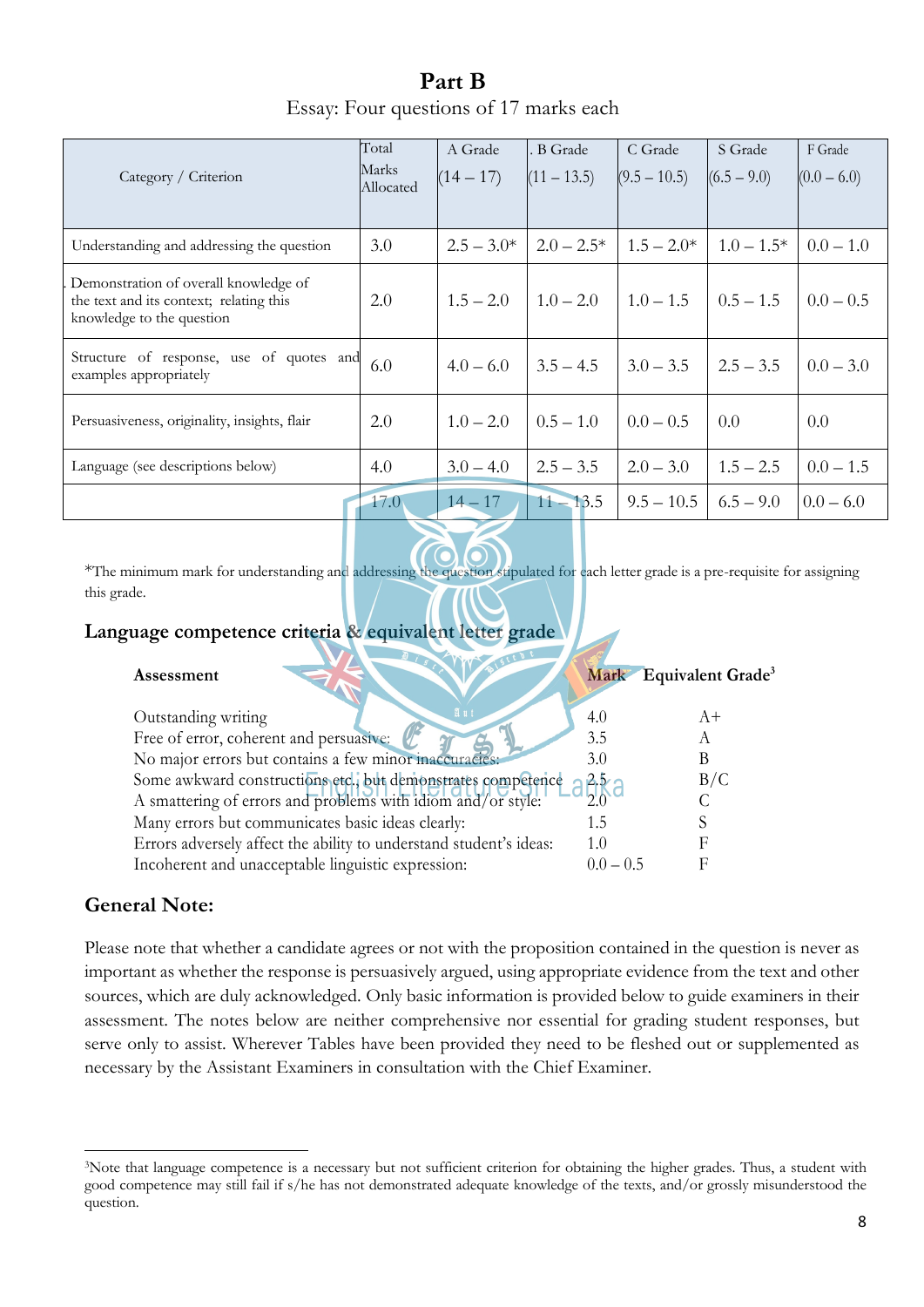**Part B** Essay: Four questions of 17 marks each

| Category / Criterion                                                                                          | Total<br>Marks<br>Allocated | A Grade<br>$(14 - 17)$ | . B Grade<br>$(11 - 13.5)$ | C Grade<br>$(9.5 - 10.5)$ | S Grade<br>$(6.5 - 9.0)$ | F Grade<br>$(0.0 - 6.0)$ |
|---------------------------------------------------------------------------------------------------------------|-----------------------------|------------------------|----------------------------|---------------------------|--------------------------|--------------------------|
| Understanding and addressing the question                                                                     | 3.0                         | $2.5 - 3.0*$           | $2.0 - 2.5*$               | $1.5 - 2.0*$              | $1.0 - 1.5*$             | $0.0 - 1.0$              |
| Demonstration of overall knowledge of<br>the text and its context; relating this<br>knowledge to the question | 2.0                         | $1.5 - 2.0$            | $1.0 - 2.0$                | $1.0 - 1.5$               | $0.5 - 1.5$              | $0.0 - 0.5$              |
| Structure of response, use of quotes and<br>examples appropriately                                            | 6.0                         | $4.0 - 6.0$            | $3.5 - 4.5$                | $3.0 - 3.5$               | $2.5 - 3.5$              | $0.0 - 3.0$              |
| Persuasiveness, originality, insights, flair                                                                  | 2.0                         | $1.0 - 2.0$            | $0.5 - 1.0$                | $0.0 - 0.5$               | 0.0                      | 0.0                      |
| Language (see descriptions below)                                                                             | 4.0                         | $3.0 - 4.0$            | $2.5 - 3.5$                | $2.0 - 3.0$               | $1.5 - 2.5$              | $0.0 - 1.5$              |
|                                                                                                               | 17.0                        | $14 - 17$              | $11 - 13.5$                | $9.5 - 10.5$              | $6.5 - 9.0$              | $0.0 - 6.0$              |

\*The minimum mark for understanding and addressing the question stipulated for each letter grade is a pre-requisite for assigning this grade.

# **Language competence criteria & equivalent letter grade**

| Assessment                                                         |             | Mark Equivalent Grade <sup>3</sup> |
|--------------------------------------------------------------------|-------------|------------------------------------|
| E 11<br>Outstanding writing                                        | 4.0         | $A+$                               |
| Free of error, coherent and persuasive:                            | 3.5         |                                    |
| No major errors but contains a few minor inaccuracies:             | 3.0         |                                    |
| Some awkward constructions etc., but demonstrates competence       | ABk         | B/C                                |
| A smattering of errors and problems with idiom and/or style:       |             |                                    |
| Many errors but communicates basic ideas clearly:                  | 1.5         |                                    |
| Errors adversely affect the ability to understand student's ideas: | 1.0         |                                    |
| Incoherent and unacceptable linguistic expression:                 | $0.0 - 0.5$ |                                    |

# **General Note:**

Please note that whether a candidate agrees or not with the proposition contained in the question is never as important as whether the response is persuasively argued, using appropriate evidence from the text and other sources, which are duly acknowledged. Only basic information is provided below to guide examiners in their assessment. The notes below are neither comprehensive nor essential for grading student responses, but serve only to assist. Wherever Tables have been provided they need to be fleshed out or supplemented as necessary by the Assistant Examiners in consultation with the Chief Examiner.

<sup>3</sup>Note that language competence is a necessary but not sufficient criterion for obtaining the higher grades. Thus, a student with good competence may still fail if s/he has not demonstrated adequate knowledge of the texts, and/or grossly misunderstood the question.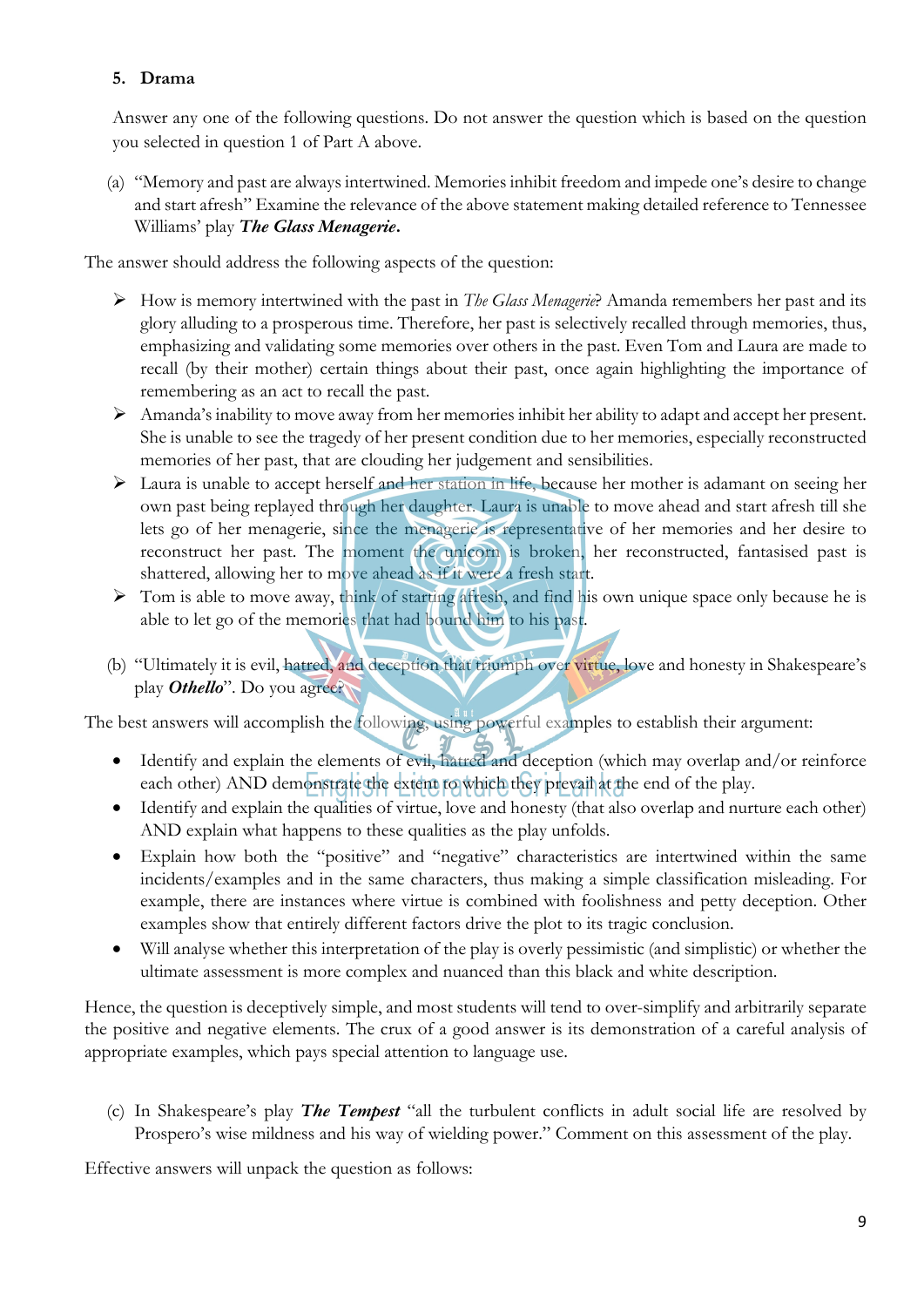## **5. Drama**

Answer any one of the following questions. Do not answer the question which is based on the question you selected in question 1 of Part A above.

(a) "Memory and past are always intertwined. Memories inhibit freedom and impede one's desire to change and start afresh" Examine the relevance of the above statement making detailed reference to Tennessee Williams' play *The Glass Menagerie***.**

The answer should address the following aspects of the question:

- Ø How is memory intertwined with the past in *The Glass Menagerie*? Amanda remembers her past and its glory alluding to a prosperous time. Therefore, her past is selectively recalled through memories, thus, emphasizing and validating some memories over others in the past. Even Tom and Laura are made to recall (by their mother) certain things about their past, once again highlighting the importance of remembering as an act to recall the past.
- Ø Amanda's inability to move away from her memories inhibit her ability to adapt and accept her present. She is unable to see the tragedy of her present condition due to her memories, especially reconstructed memories of her past, that are clouding her judgement and sensibilities.
- $\triangleright$  Laura is unable to accept herself and her station in life, because her mother is adamant on seeing her own past being replayed through her daughter. Laura is unable to move ahead and start afresh till she lets go of her menagerie, since the menagerie is representative of her memories and her desire to reconstruct her past. The moment the unicorn is broken, her reconstructed, fantasised past is shattered, allowing her to move ahead as if it were a fresh start.
- Ø Tom is able to move away, think of starting afresh, and find his own unique space only because he is able to let go of the memories that had bound him to his past.
- (b) "Ultimately it is evil, hatred, and deception that triumph over virtue, love and honesty in Shakespeare's play *Othello*". Do you agree?

The best answers will accomplish the following, using powerful examples to establish their argument:

- Identify and explain the elements of evil, hatred and deception (which may overlap and/or reinforce each other) AND demonstrate the extent to which they prevail at the end of the play.
- Identify and explain the qualities of virtue, love and honesty (that also overlap and nurture each other) AND explain what happens to these qualities as the play unfolds.
- Explain how both the "positive" and "negative" characteristics are intertwined within the same incidents/examples and in the same characters, thus making a simple classification misleading. For example, there are instances where virtue is combined with foolishness and petty deception. Other examples show that entirely different factors drive the plot to its tragic conclusion.
- Will analyse whether this interpretation of the play is overly pessimistic (and simplistic) or whether the ultimate assessment is more complex and nuanced than this black and white description.

Hence, the question is deceptively simple, and most students will tend to over-simplify and arbitrarily separate the positive and negative elements. The crux of a good answer is its demonstration of a careful analysis of appropriate examples, which pays special attention to language use.

(c) In Shakespeare's play *The Tempest* "all the turbulent conflicts in adult social life are resolved by Prospero's wise mildness and his way of wielding power." Comment on this assessment of the play.

Effective answers will unpack the question as follows: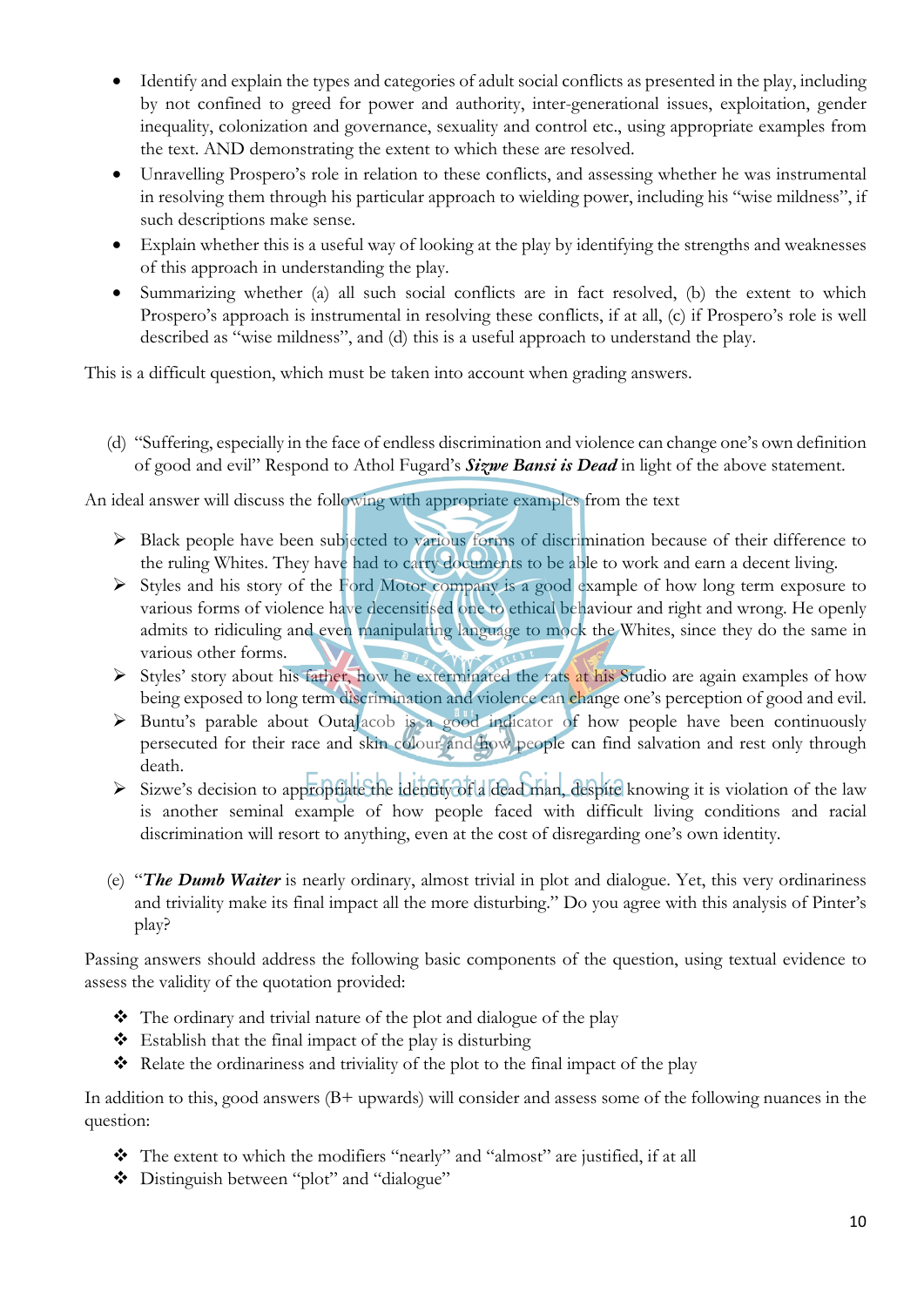- Identify and explain the types and categories of adult social conflicts as presented in the play, including by not confined to greed for power and authority, inter-generational issues, exploitation, gender inequality, colonization and governance, sexuality and control etc., using appropriate examples from the text. AND demonstrating the extent to which these are resolved.
- Unravelling Prospero's role in relation to these conflicts, and assessing whether he was instrumental in resolving them through his particular approach to wielding power, including his "wise mildness", if such descriptions make sense.
- Explain whether this is a useful way of looking at the play by identifying the strengths and weaknesses of this approach in understanding the play.
- Summarizing whether (a) all such social conflicts are in fact resolved, (b) the extent to which Prospero's approach is instrumental in resolving these conflicts, if at all, (c) if Prospero's role is well described as "wise mildness", and (d) this is a useful approach to understand the play.

This is a difficult question, which must be taken into account when grading answers.

(d) "Suffering, especially in the face of endless discrimination and violence can change one's own definition of good and evil" Respond to Athol Fugard's *Sizwe Bansi is Dead* in light of the above statement.

An ideal answer will discuss the following with appropriate examples from the text

- Ø Black people have been subjected to various forms of discrimination because of their difference to the ruling Whites. They have had to carry documents to be able to work and earn a decent living.
- $\triangleright$  Styles and his story of the Ford Motor company is a good example of how long term exposure to various forms of violence have decensitised one to ethical behaviour and right and wrong. He openly admits to ridiculing and even manipulating language to mock the Whites, since they do the same in various other forms.
- $\triangleright$  Styles' story about his father, how he exterminated the rats at his Studio are again examples of how being exposed to long term discrimination and violence can change one's perception of good and evil.
- $\triangleright$  Buntu's parable about OutaJacob is a good indicator of how people have been continuously persecuted for their race and skin colour and how people can find salvation and rest only through death.
- Ø Sizwe's decision to appropriate the identity of a dead man, despite knowing it is violation of the law is another seminal example of how people faced with difficult living conditions and racial discrimination will resort to anything, even at the cost of disregarding one's own identity.
- (e) "*The Dumb Waiter* is nearly ordinary, almost trivial in plot and dialogue. Yet, this very ordinariness and triviality make its final impact all the more disturbing." Do you agree with this analysis of Pinter's play?

Passing answers should address the following basic components of the question, using textual evidence to assess the validity of the quotation provided:

- $\bullet$  The ordinary and trivial nature of the plot and dialogue of the play
- $\bullet$  Establish that the final impact of the play is disturbing
- $\triangleleft$  Relate the ordinariness and triviality of the plot to the final impact of the play

In addition to this, good answers (B+ upwards) will consider and assess some of the following nuances in the question:

- \* The extent to which the modifiers "nearly" and "almost" are justified, if at all
- \* Distinguish between "plot" and "dialogue"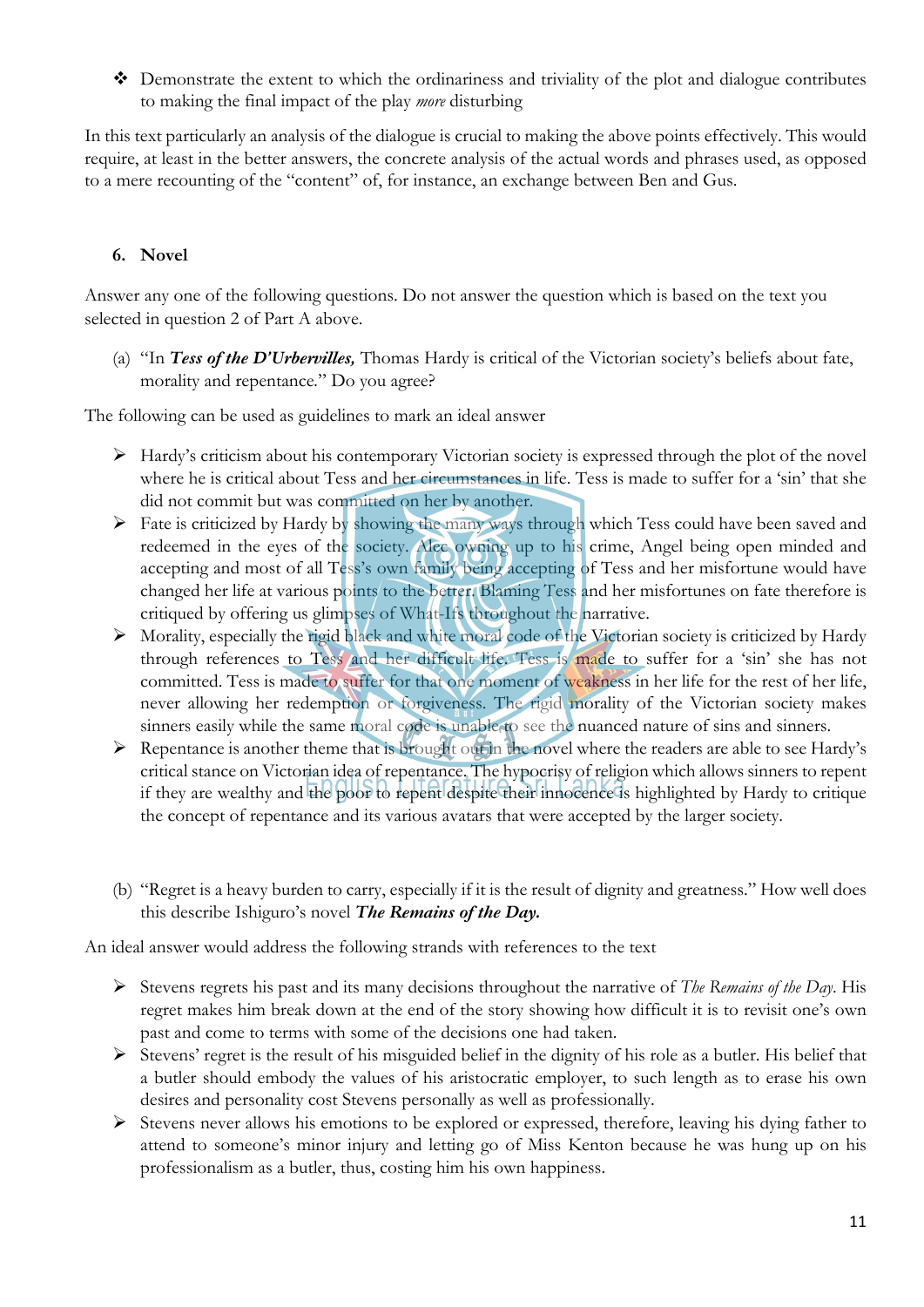v Demonstrate the extent to which the ordinariness and triviality of the plot and dialogue contributes to making the final impact of the play *more* disturbing

In this text particularly an analysis of the dialogue is crucial to making the above points effectively. This would require, at least in the better answers, the concrete analysis of the actual words and phrases used, as opposed to a mere recounting of the "content" of, for instance, an exchange between Ben and Gus.

#### **6. Novel**

Answer any one of the following questions. Do not answer the question which is based on the text you selected in question 2 of Part A above.

(a) "In *Tess of the D'Urbervilles,* Thomas Hardy is critical of the Victorian society's beliefs about fate, morality and repentance*.*" Do you agree?

The following can be used as guidelines to mark an ideal answer

- Ø Hardy's criticism about his contemporary Victorian society is expressed through the plot of the novel where he is critical about Tess and her circumstances in life. Tess is made to suffer for a 'sin' that she did not commit but was committed on her by another.
- $\triangleright$  Fate is criticized by Hardy by showing the many ways through which Tess could have been saved and redeemed in the eyes of the society. Alec owning up to his crime, Angel being open minded and accepting and most of all Tess's own family being accepting of Tess and her misfortune would have changed her life at various points to the better. Blaming Tess and her misfortunes on fate therefore is critiqued by offering us glimpses of What-Ifs throughout the narrative.
- Ø Morality, especially the rigid black and white moral code of the Victorian society is criticized by Hardy through references to Tess and her difficult life. Tess is made to suffer for a 'sin' she has not committed. Tess is made to suffer for that one moment of weakness in her life for the rest of her life, never allowing her redemption or forgiveness. The rigid morality of the Victorian society makes sinners easily while the same moral code is unable to see the nuanced nature of sins and sinners.
- $\triangleright$  Repentance is another theme that is brought out in the novel where the readers are able to see Hardy's critical stance on Victorian idea of repentance. The hypocrisy of religion which allows sinners to repent if they are wealthy and the poor to repent despite their innocence is highlighted by Hardy to critique the concept of repentance and its various avatars that were accepted by the larger society.
- (b) "Regret is a heavy burden to carry, especially if it is the result of dignity and greatness." How well does this describe Ishiguro's novel *The Remains of the Day.*

An ideal answer would address the following strands with references to the text

- Ø Stevens regrets his past and its many decisions throughout the narrative of *The Remains of the Day*. His regret makes him break down at the end of the story showing how difficult it is to revisit one's own past and come to terms with some of the decisions one had taken.
- $\triangleright$  Stevens' regret is the result of his misguided belief in the dignity of his role as a butler. His belief that a butler should embody the values of his aristocratic employer, to such length as to erase his own desires and personality cost Stevens personally as well as professionally.
- Ø Stevens never allows his emotions to be explored or expressed, therefore, leaving his dying father to attend to someone's minor injury and letting go of Miss Kenton because he was hung up on his professionalism as a butler, thus, costing him his own happiness.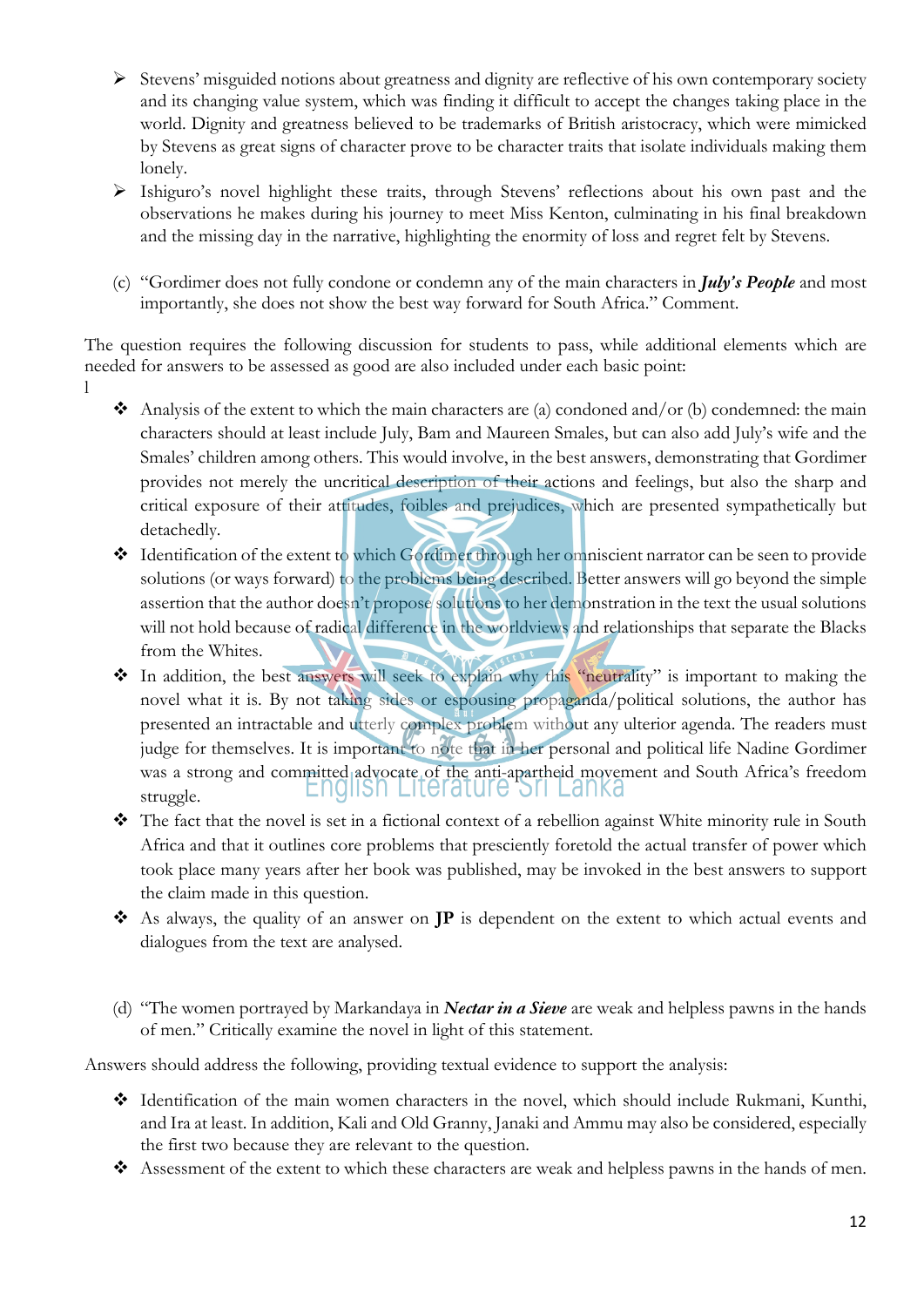- $\triangleright$  Stevens' misguided notions about greatness and dignity are reflective of his own contemporary society and its changing value system, which was finding it difficult to accept the changes taking place in the world. Dignity and greatness believed to be trademarks of British aristocracy, which were mimicked by Stevens as great signs of character prove to be character traits that isolate individuals making them lonely.
- Ø Ishiguro's novel highlight these traits, through Stevens' reflections about his own past and the observations he makes during his journey to meet Miss Kenton, culminating in his final breakdown and the missing day in the narrative, highlighting the enormity of loss and regret felt by Stevens.
- (c) "Gordimer does not fully condone or condemn any of the main characters in *July's People* and most importantly, she does not show the best way forward for South Africa." Comment.

The question requires the following discussion for students to pass, while additional elements which are needed for answers to be assessed as good are also included under each basic point:

- l
- Analysis of the extent to which the main characters are (a) condoned and/or (b) condemned: the main characters should at least include July, Bam and Maureen Smales, but can also add July's wife and the Smales' children among others. This would involve, in the best answers, demonstrating that Gordimer provides not merely the uncritical description of their actions and feelings, but also the sharp and critical exposure of their attitudes, foibles and prejudices, which are presented sympathetically but detachedly.
- v Identification of the extent to which Gordimer through her omniscient narrator can be seen to provide solutions (or ways forward) to the problems being described. Better answers will go beyond the simple assertion that the author doesn't propose solutions to her demonstration in the text the usual solutions will not hold because of radical difference in the worldviews and relationships that separate the Blacks from the Whites.
- v In addition, the best answers will seek to explain why this "neutrality" is important to making the novel what it is. By not taking sides or espousing propaganda/political solutions, the author has presented an intractable and utterly complex problem without any ulterior agenda. The readers must judge for themselves. It is important to note that in her personal and political life Nadine Gordimer was a strong and committed advocate of the anti-apartheid movement and South Africa's freedom struggle.
- \* The fact that the novel is set in a fictional context of a rebellion against White minority rule in South Africa and that it outlines core problems that presciently foretold the actual transfer of power which took place many years after her book was published, may be invoked in the best answers to support the claim made in this question.
- v As always, the quality of an answer on **JP** is dependent on the extent to which actual events and dialogues from the text are analysed.
- (d) "The women portrayed by Markandaya in *Nectar in a Sieve* are weak and helpless pawns in the hands of men." Critically examine the novel in light of this statement.

Answers should address the following, providing textual evidence to support the analysis:

- v Identification of the main women characters in the novel, which should include Rukmani, Kunthi, and Ira at least. In addition, Kali and Old Granny, Janaki and Ammu may also be considered, especially the first two because they are relevant to the question.
- v Assessment of the extent to which these characters are weak and helpless pawns in the hands of men.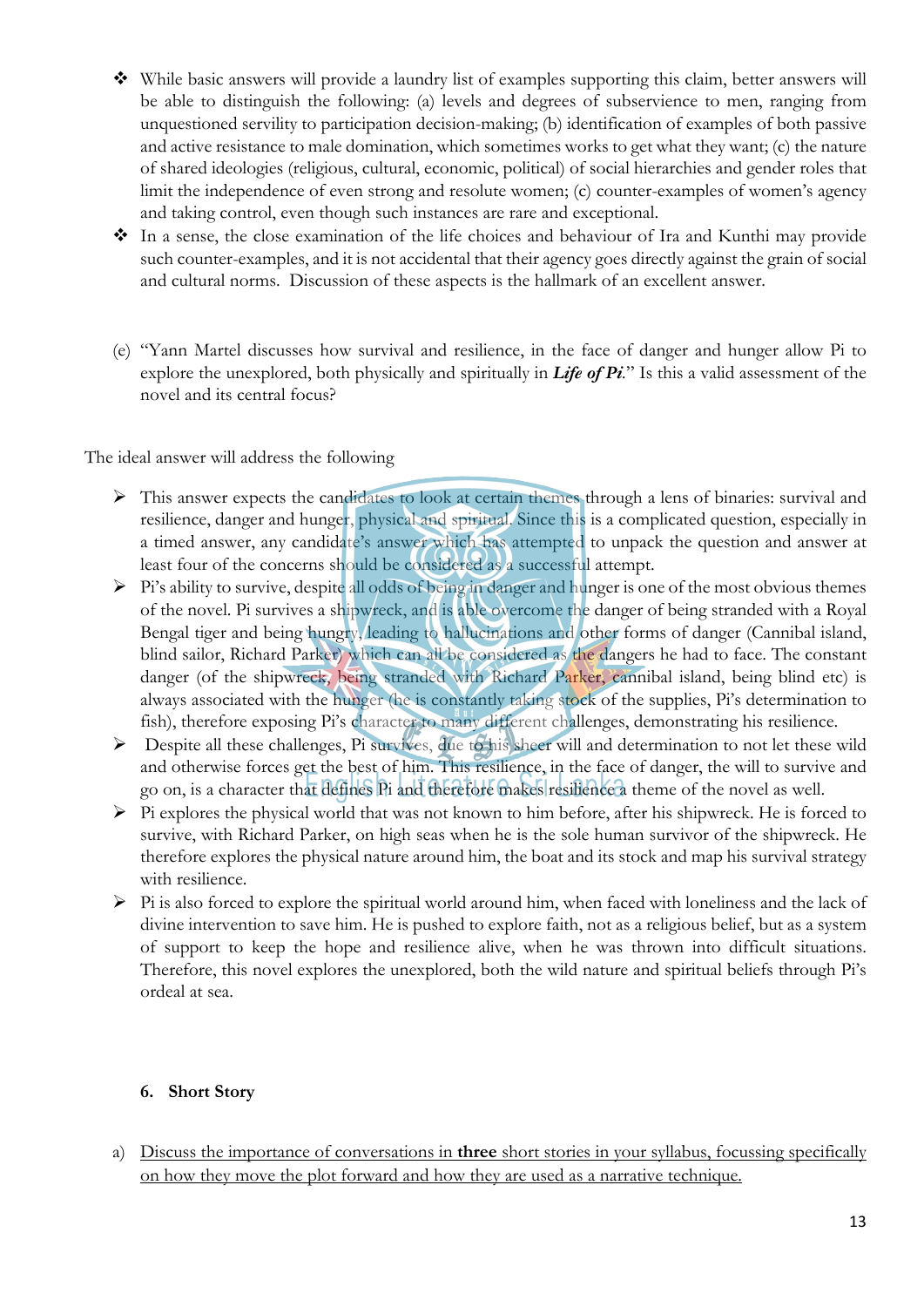- $\bullet$  While basic answers will provide a laundry list of examples supporting this claim, better answers will be able to distinguish the following: (a) levels and degrees of subservience to men, ranging from unquestioned servility to participation decision-making; (b) identification of examples of both passive and active resistance to male domination, which sometimes works to get what they want; (c) the nature of shared ideologies (religious, cultural, economic, political) of social hierarchies and gender roles that limit the independence of even strong and resolute women; (c) counter-examples of women's agency and taking control, even though such instances are rare and exceptional.
- $\cdot$  In a sense, the close examination of the life choices and behaviour of Ira and Kunthi may provide such counter-examples, and it is not accidental that their agency goes directly against the grain of social and cultural norms. Discussion of these aspects is the hallmark of an excellent answer.
- (e) "Yann Martel discusses how survival and resilience, in the face of danger and hunger allow Pi to explore the unexplored, both physically and spiritually in *Life of Pi.*" Is this a valid assessment of the novel and its central focus?

The ideal answer will address the following

- Ø This answer expects the candidates to look at certain themes through a lens of binaries: survival and resilience, danger and hunger, physical and spiritual. Since this is a complicated question, especially in a timed answer, any candidate's answer which has attempted to unpack the question and answer at least four of the concerns should be considered as a successful attempt.
- $\triangleright$  Pi's ability to survive, despite all odds of being in danger and hunger is one of the most obvious themes of the novel. Pi survives a shipwreck, and is able overcome the danger of being stranded with a Royal Bengal tiger and being hungry, leading to hallucinations and other forms of danger (Cannibal island, blind sailor, Richard Parker) which can all be considered as the dangers he had to face. The constant danger (of the shipwreck, being stranded with Richard Parker, cannibal island, being blind etc) is always associated with the hunger (he is constantly taking stock of the supplies, Pi's determination to fish), therefore exposing Pi's character to many different challenges, demonstrating his resilience.
- Ø Despite all these challenges, Pi survives, due to his sheer will and determination to not let these wild and otherwise forces get the best of him. This resilience, in the face of danger, the will to survive and go on, is a character that defines Pi and therefore makes resilience a theme of the novel as well.
- $\triangleright$  Pi explores the physical world that was not known to him before, after his shipwreck. He is forced to survive, with Richard Parker, on high seas when he is the sole human survivor of the shipwreck. He therefore explores the physical nature around him, the boat and its stock and map his survival strategy with resilience.
- $\triangleright$  Pi is also forced to explore the spiritual world around him, when faced with loneliness and the lack of divine intervention to save him. He is pushed to explore faith, not as a religious belief, but as a system of support to keep the hope and resilience alive, when he was thrown into difficult situations. Therefore, this novel explores the unexplored, both the wild nature and spiritual beliefs through Pi's ordeal at sea.

#### **6. Short Story**

a) Discuss the importance of conversations in **three** short stories in your syllabus, focussing specifically on how they move the plot forward and how they are used as a narrative technique.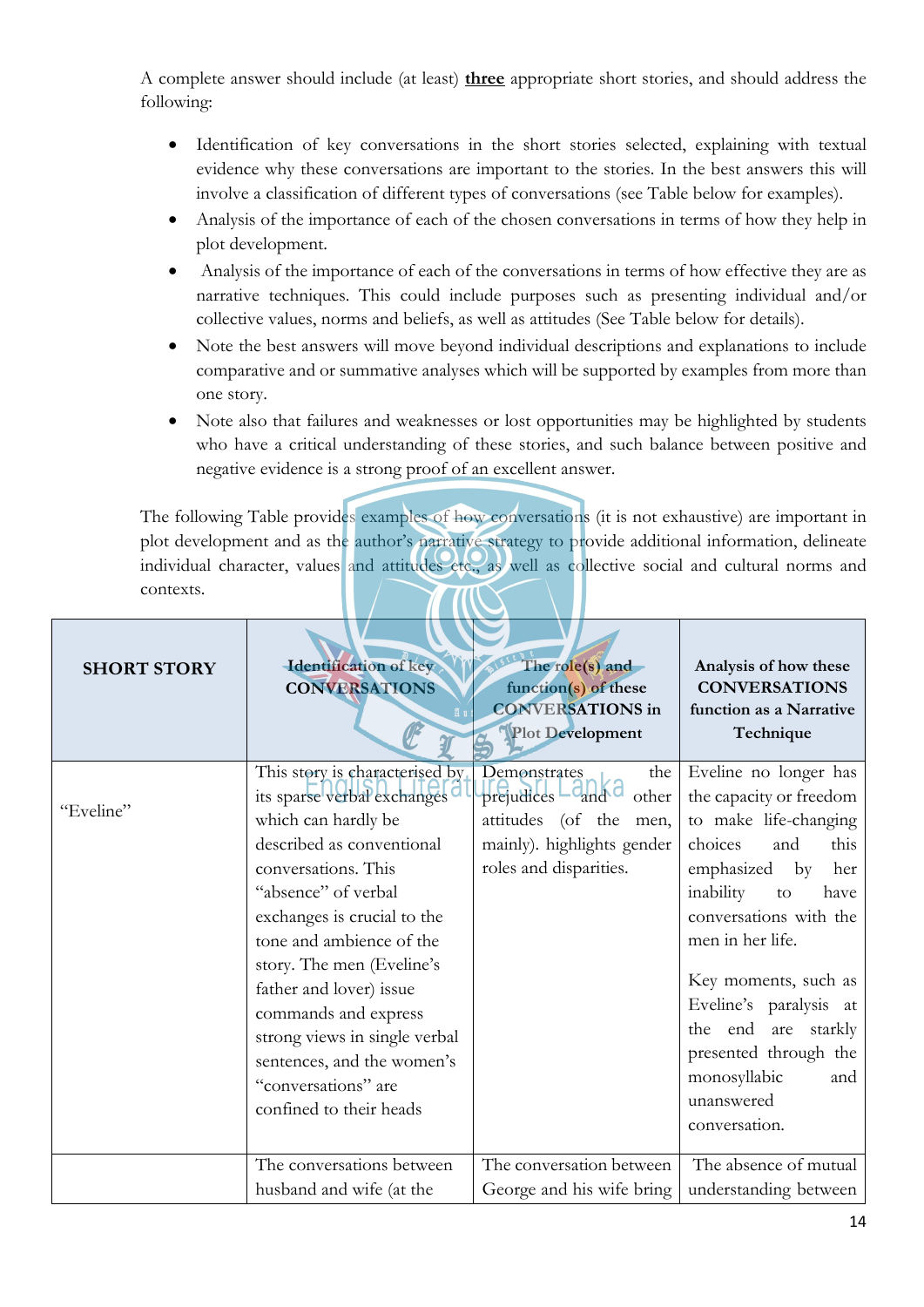A complete answer should include (at least) **three** appropriate short stories, and should address the following:

- Identification of key conversations in the short stories selected, explaining with textual evidence why these conversations are important to the stories. In the best answers this will involve a classification of different types of conversations (see Table below for examples).
- Analysis of the importance of each of the chosen conversations in terms of how they help in plot development.
- Analysis of the importance of each of the conversations in terms of how effective they are as narrative techniques. This could include purposes such as presenting individual and/or collective values, norms and beliefs, as well as attitudes (See Table below for details).
- Note the best answers will move beyond individual descriptions and explanations to include comparative and or summative analyses which will be supported by examples from more than one story.
- Note also that failures and weaknesses or lost opportunities may be highlighted by students who have a critical understanding of these stories, and such balance between positive and negative evidence is a strong proof of an excellent answer.

The following Table provides examples of how conversations (it is not exhaustive) are important in plot development and as the author's narrative strategy to provide additional information, delineate individual character, values and attitudes etc., as well as collective social and cultural norms and contexts.

| <b>SHORT STORY</b> | Identification of key<br><b>CONVERSATIONS</b>                                                                                                                                                                                                                                                                                                                                                                               | The role(s) and<br>function(s) of these<br><b>CONVERSATIONS</b> in<br>Plot Development                                                                          | Analysis of how these<br><b>CONVERSATIONS</b><br>function as a Narrative<br>Technique                                                                                                                                                                                                                                                                                  |
|--------------------|-----------------------------------------------------------------------------------------------------------------------------------------------------------------------------------------------------------------------------------------------------------------------------------------------------------------------------------------------------------------------------------------------------------------------------|-----------------------------------------------------------------------------------------------------------------------------------------------------------------|------------------------------------------------------------------------------------------------------------------------------------------------------------------------------------------------------------------------------------------------------------------------------------------------------------------------------------------------------------------------|
| "Eveline"          | This story is characterised by<br>its sparse verbal exchanges<br>which can hardly be<br>described as conventional<br>conversations. This<br>"absence" of verbal<br>exchanges is crucial to the<br>tone and ambience of the<br>story. The men (Eveline's<br>father and lover) issue<br>commands and express<br>strong views in single verbal<br>sentences, and the women's<br>"conversations" are<br>confined to their heads | the<br>Demonstrates<br>$\frac{1}{2}$ brejudices $\Box$ and $\Box$<br>other<br>attitudes (of the<br>men,<br>mainly). highlights gender<br>roles and disparities. | Eveline no longer has<br>the capacity or freedom<br>to make life-changing<br>choices<br>this<br>and<br>emphasized<br>her<br>$-$ by<br>inability<br>have<br>to<br>conversations with the<br>men in her life.<br>Key moments, such as<br>Eveline's paralysis at<br>the end<br>are starkly<br>presented through the<br>monosyllabic<br>and<br>unanswered<br>conversation. |
|                    | The conversations between<br>husband and wife (at the                                                                                                                                                                                                                                                                                                                                                                       | The conversation between<br>George and his wife bring                                                                                                           | The absence of mutual<br>understanding between                                                                                                                                                                                                                                                                                                                         |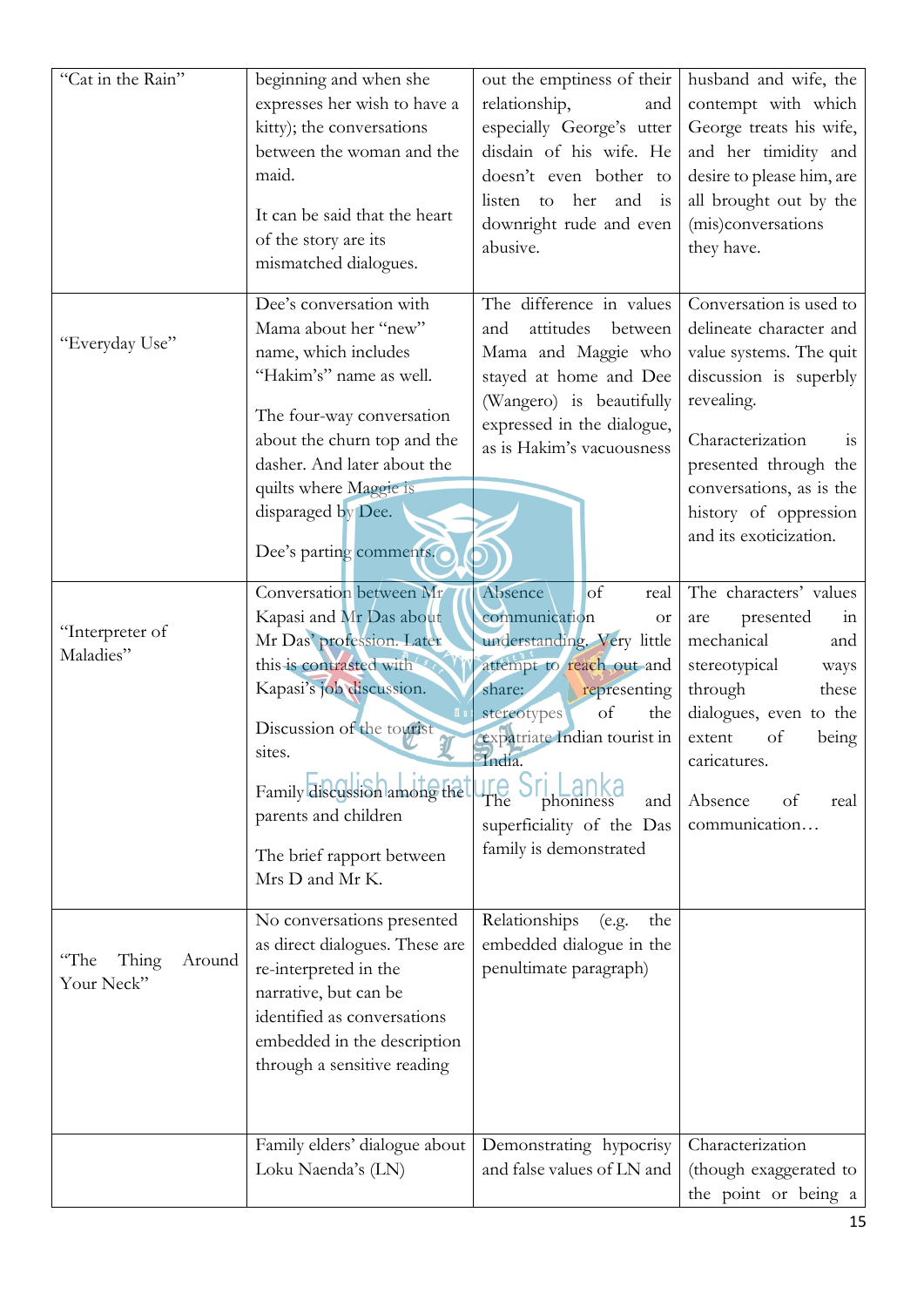| "Cat in the Rain"                     | beginning and when she<br>expresses her wish to have a<br>kitty); the conversations<br>between the woman and the<br>maid.<br>It can be said that the heart<br>of the story are its<br>mismatched dialogues.                                                                          | out the emptiness of their<br>relationship,<br>and<br>especially George's utter<br>disdain of his wife. He<br>doesn't even bother to<br>listen<br>her<br>and is<br>to<br>downright rude and even<br>abusive.                                                                                           | husband and wife, the<br>contempt with which<br>George treats his wife,<br>and her timidity and<br>desire to please him, are<br>all brought out by the<br>(mis)conversations<br>they have.                                                              |
|---------------------------------------|--------------------------------------------------------------------------------------------------------------------------------------------------------------------------------------------------------------------------------------------------------------------------------------|--------------------------------------------------------------------------------------------------------------------------------------------------------------------------------------------------------------------------------------------------------------------------------------------------------|---------------------------------------------------------------------------------------------------------------------------------------------------------------------------------------------------------------------------------------------------------|
| "Everyday Use"                        | Dee's conversation with<br>Mama about her "new"<br>name, which includes<br>"Hakim's" name as well.<br>The four-way conversation<br>about the churn top and the<br>dasher. And later about the<br>quilts where Maggie is<br>disparaged by Dee.<br>Dee's parting comments.             | The difference in values<br>attitudes<br>between<br>and<br>Mama and Maggie who<br>stayed at home and Dee<br>(Wangero) is beautifully<br>expressed in the dialogue,<br>as is Hakim's vacuousness                                                                                                        | Conversation is used to<br>delineate character and<br>value systems. The quit<br>discussion is superbly<br>revealing.<br>Characterization<br>1S<br>presented through the<br>conversations, as is the<br>history of oppression<br>and its exoticization. |
| "Interpreter of<br>Maladies"          | Conversation between Mr<br>Kapasi and Mr Das about<br>Mr Das' profession. Later<br>this is contrasted with<br>Kapasi's job discussion.<br>Discussion of the tourist<br>sites.<br>Family discussion among the<br>parents and children<br>The brief rapport between<br>Mrs D and Mr K. | Absence<br>$\circ$ f<br>real<br>communication<br><b>or</b><br>understanding. Very little<br>attempt to reach out and<br>share:<br>representing<br>of<br>stereotypes<br>the<br>expatriate Indian tourist in<br>India.<br>The<br>and<br>phoniness<br>superficiality of the Das<br>family is demonstrated | The characters' values<br>presented<br>are<br>111<br>mechanical<br>and<br>stereotypical<br>ways<br>through<br>these<br>dialogues, even to the<br>extent<br>of<br>being<br>caricatures.<br>Absence<br>of<br>real<br>communication                        |
| "The<br>Thing<br>Around<br>Your Neck" | No conversations presented<br>as direct dialogues. These are<br>re-interpreted in the<br>narrative, but can be<br>identified as conversations<br>embedded in the description<br>through a sensitive reading                                                                          | Relationships<br>the<br>(e.g.<br>embedded dialogue in the<br>penultimate paragraph)                                                                                                                                                                                                                    |                                                                                                                                                                                                                                                         |
|                                       | Family elders' dialogue about<br>Loku Naenda's (LN)                                                                                                                                                                                                                                  | Demonstrating hypocrisy<br>and false values of LN and                                                                                                                                                                                                                                                  | Characterization<br>(though exaggerated to<br>the point or being a                                                                                                                                                                                      |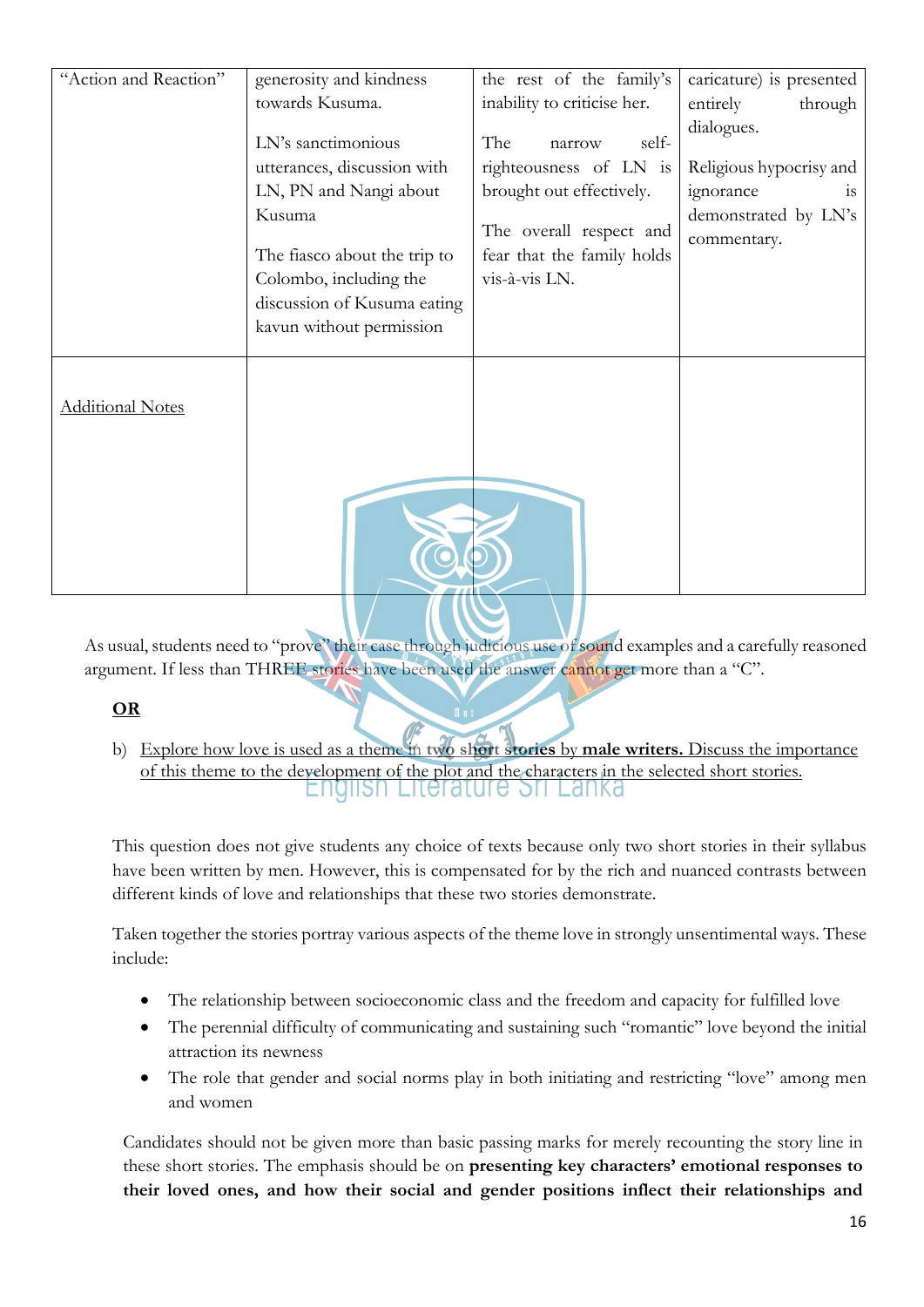| "Action and Reaction"   | generosity and kindness      | the rest of the family's    | caricature) is presented            |
|-------------------------|------------------------------|-----------------------------|-------------------------------------|
|                         | towards Kusuma.              | inability to criticise her. | entirely<br>through                 |
|                         | LN's sanctimonious           | The<br>self-<br>narrow      | dialogues.                          |
|                         | utterances, discussion with  | righteousness of LN is      | Religious hypocrisy and             |
|                         | LN, PN and Nangi about       | brought out effectively.    | ignorance<br><b>1S</b>              |
|                         | Kusuma                       | The overall respect and     | demonstrated by LN's<br>commentary. |
|                         | The fiasco about the trip to | fear that the family holds  |                                     |
|                         | Colombo, including the       | vis-à-vis LN.               |                                     |
|                         | discussion of Kusuma eating  |                             |                                     |
|                         | kavun without permission     |                             |                                     |
|                         |                              |                             |                                     |
| <b>Additional Notes</b> |                              |                             |                                     |
|                         |                              |                             |                                     |
|                         |                              |                             |                                     |
|                         |                              |                             |                                     |
|                         |                              |                             |                                     |
|                         |                              |                             |                                     |

As usual, students need to "prove" their case through judicious use of sound examples and a carefully reasoned argument. If less than THREE stories have been used the answer cannot get more than a "C".

# **OR**

b) Explore how love is used as a theme in **two short stories** by **male writers.** Discuss the importance of this theme to the development of the plot and the characters in the selected short stories.

This question does not give students any choice of texts because only two short stories in their syllabus have been written by men. However, this is compensated for by the rich and nuanced contrasts between different kinds of love and relationships that these two stories demonstrate.

Taken together the stories portray various aspects of the theme love in strongly unsentimental ways. These include:

- The relationship between socioeconomic class and the freedom and capacity for fulfilled love
- The perennial difficulty of communicating and sustaining such "romantic" love beyond the initial attraction its newness
- The role that gender and social norms play in both initiating and restricting "love" among men and women

Candidates should not be given more than basic passing marks for merely recounting the story line in these short stories. The emphasis should be on **presenting key characters' emotional responses to their loved ones, and how their social and gender positions inflect their relationships and**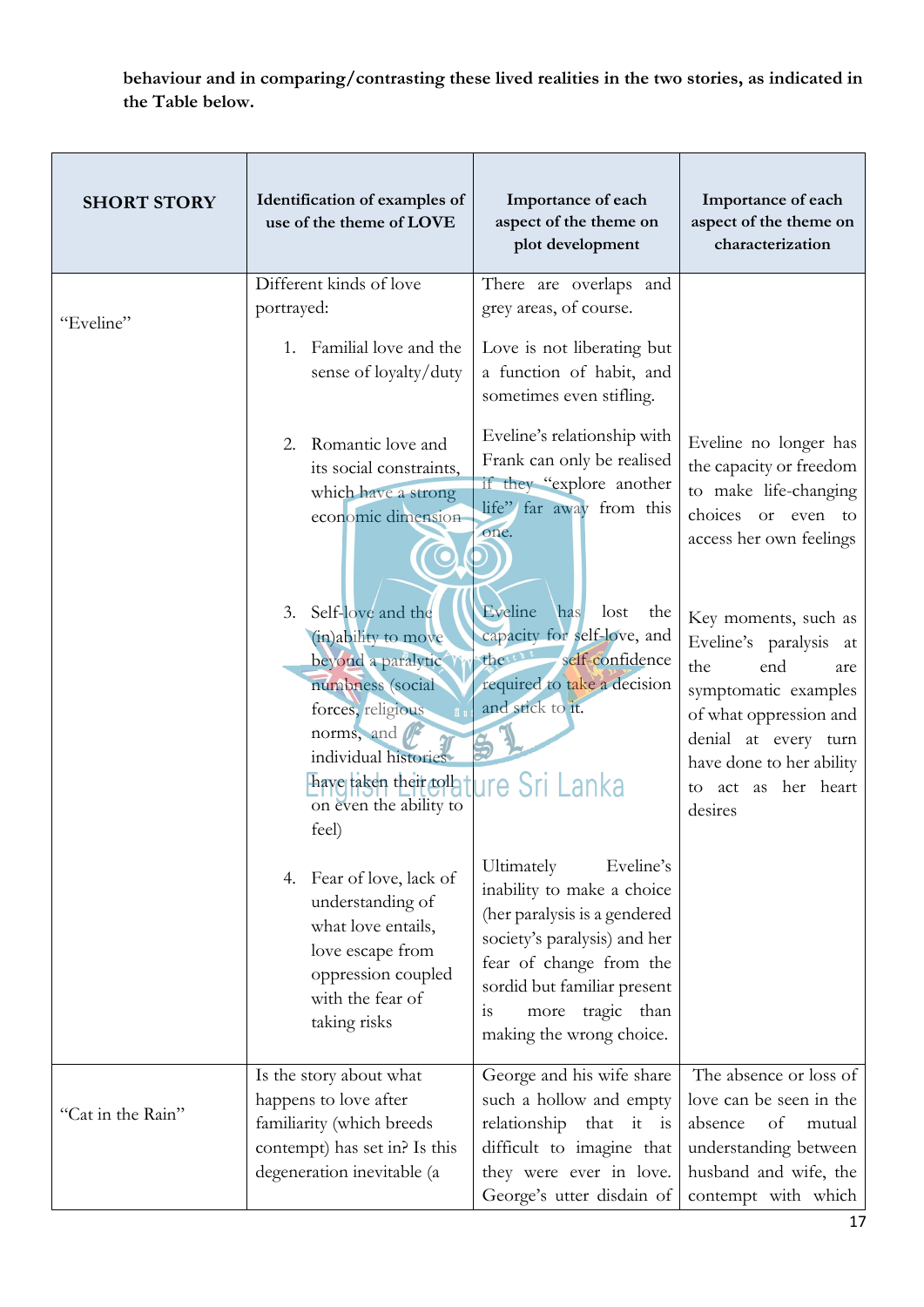**behaviour and in comparing/contrasting these lived realities in the two stories, as indicated in the Table below.**

| <b>SHORT STORY</b> | Identification of examples of<br>use of the theme of LOVE                                                                                                                                                        | Importance of each<br>aspect of the theme on<br>plot development                                                                                                                                                                         | Importance of each<br>aspect of the theme on<br>characterization                                                                                                                                            |
|--------------------|------------------------------------------------------------------------------------------------------------------------------------------------------------------------------------------------------------------|------------------------------------------------------------------------------------------------------------------------------------------------------------------------------------------------------------------------------------------|-------------------------------------------------------------------------------------------------------------------------------------------------------------------------------------------------------------|
|                    | Different kinds of love                                                                                                                                                                                          | There are overlaps and                                                                                                                                                                                                                   |                                                                                                                                                                                                             |
| "Eveline"          | portrayed:                                                                                                                                                                                                       | grey areas, of course.                                                                                                                                                                                                                   |                                                                                                                                                                                                             |
|                    | Familial love and the<br>1.<br>sense of loyalty/duty                                                                                                                                                             | Love is not liberating but<br>a function of habit, and<br>sometimes even stifling.                                                                                                                                                       |                                                                                                                                                                                                             |
|                    | Romantic love and<br>2.<br>its social constraints,<br>which have a strong<br>economic dimension                                                                                                                  | Eveline's relationship with<br>Frank can only be realised<br>if they "explore another<br>life" far away from this<br>one.                                                                                                                | Eveline no longer has<br>the capacity or freedom<br>to make life-changing<br>choices or even to<br>access her own feelings                                                                                  |
|                    | Self-love and the<br>3.<br>(in)ability to move<br>beyond a paralytic<br>numbness (social<br>forces, religious<br>norms, and<br>individual histories<br>have taken their tolla<br>on even the ability to<br>feel) | Eveline<br>has<br>lost<br>the<br>capacity for self-love, and<br>theret<br>self-confidence<br>required to take a decision<br>and stick to it.<br>ure Sri Lanka:                                                                           | Key moments, such as<br>Eveline's paralysis at<br>the<br>end<br>are<br>symptomatic examples<br>of what oppression and<br>denial at every turn<br>have done to her ability<br>to act as her heart<br>desires |
|                    | Fear of love, lack of<br>4.<br>understanding of<br>what love entails,<br>love escape from<br>oppression coupled<br>with the fear of<br>taking risks                                                              | Eveline's<br>Ultimately<br>inability to make a choice<br>(her paralysis is a gendered<br>society's paralysis) and her<br>fear of change from the<br>sordid but familiar present<br>tragic than<br>is<br>more<br>making the wrong choice. |                                                                                                                                                                                                             |
| "Cat in the Rain"  | Is the story about what<br>happens to love after<br>familiarity (which breeds                                                                                                                                    | George and his wife share<br>such a hollow and empty<br>relationship that it is                                                                                                                                                          | The absence or loss of<br>love can be seen in the<br>absence<br>of<br>mutual                                                                                                                                |
|                    | contempt) has set in? Is this<br>degeneration inevitable (a                                                                                                                                                      | difficult to imagine that<br>they were ever in love.<br>George's utter disdain of                                                                                                                                                        | understanding between<br>husband and wife, the<br>contempt with which                                                                                                                                       |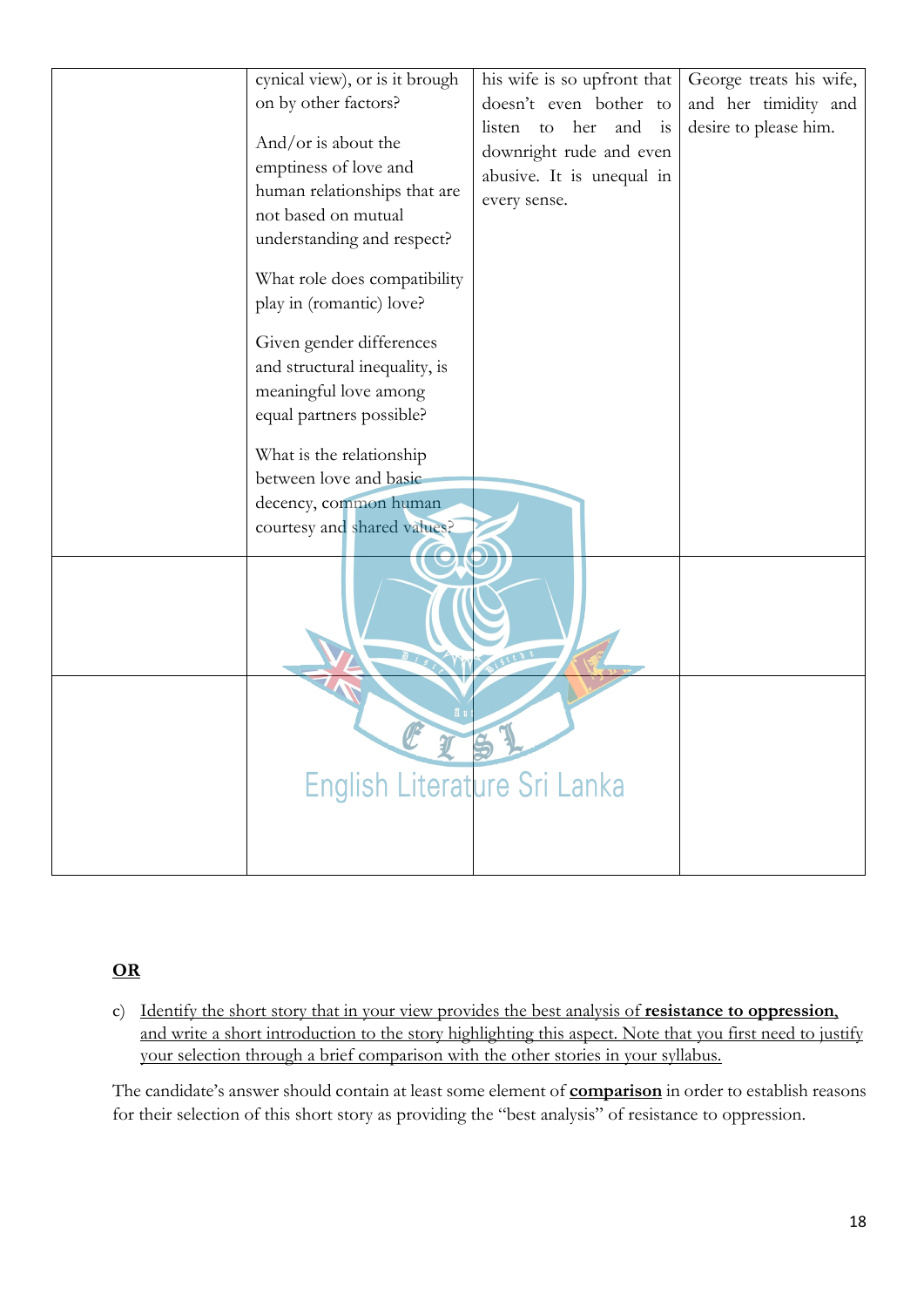| cynical view), or is it brough | his wife is so upfront that | George treats his wife, |
|--------------------------------|-----------------------------|-------------------------|
|                                |                             |                         |
| on by other factors?           | doesn't even bother to      | and her timidity and    |
| And/or is about the            | listen to<br>her and is     | desire to please him.   |
|                                | downright rude and even     |                         |
| emptiness of love and          | abusive. It is unequal in   |                         |
| human relationships that are   | every sense.                |                         |
| not based on mutual            |                             |                         |
| understanding and respect?     |                             |                         |
| What role does compatibility   |                             |                         |
| play in (romantic) love?       |                             |                         |
|                                |                             |                         |
| Given gender differences       |                             |                         |
| and structural inequality, is  |                             |                         |
| meaningful love among          |                             |                         |
| equal partners possible?       |                             |                         |
|                                |                             |                         |
| What is the relationship       |                             |                         |
| between love and basic         |                             |                         |
| decency, common human          |                             |                         |
| courtesy and shared values?    |                             |                         |
|                                |                             |                         |
|                                |                             |                         |
|                                |                             |                         |
|                                |                             |                         |
|                                |                             |                         |
|                                |                             |                         |
|                                |                             |                         |
|                                |                             |                         |
|                                |                             |                         |
|                                |                             |                         |
| English Literature Sri Lanka   |                             |                         |
|                                |                             |                         |
|                                |                             |                         |
|                                |                             |                         |

# **OR**

c) Identify the short story that in your view provides the best analysis of **resistance to oppression**, and write a short introduction to the story highlighting this aspect. Note that you first need to justify your selection through a brief comparison with the other stories in your syllabus.

The candidate's answer should contain at least some element of **comparison** in order to establish reasons for their selection of this short story as providing the "best analysis" of resistance to oppression.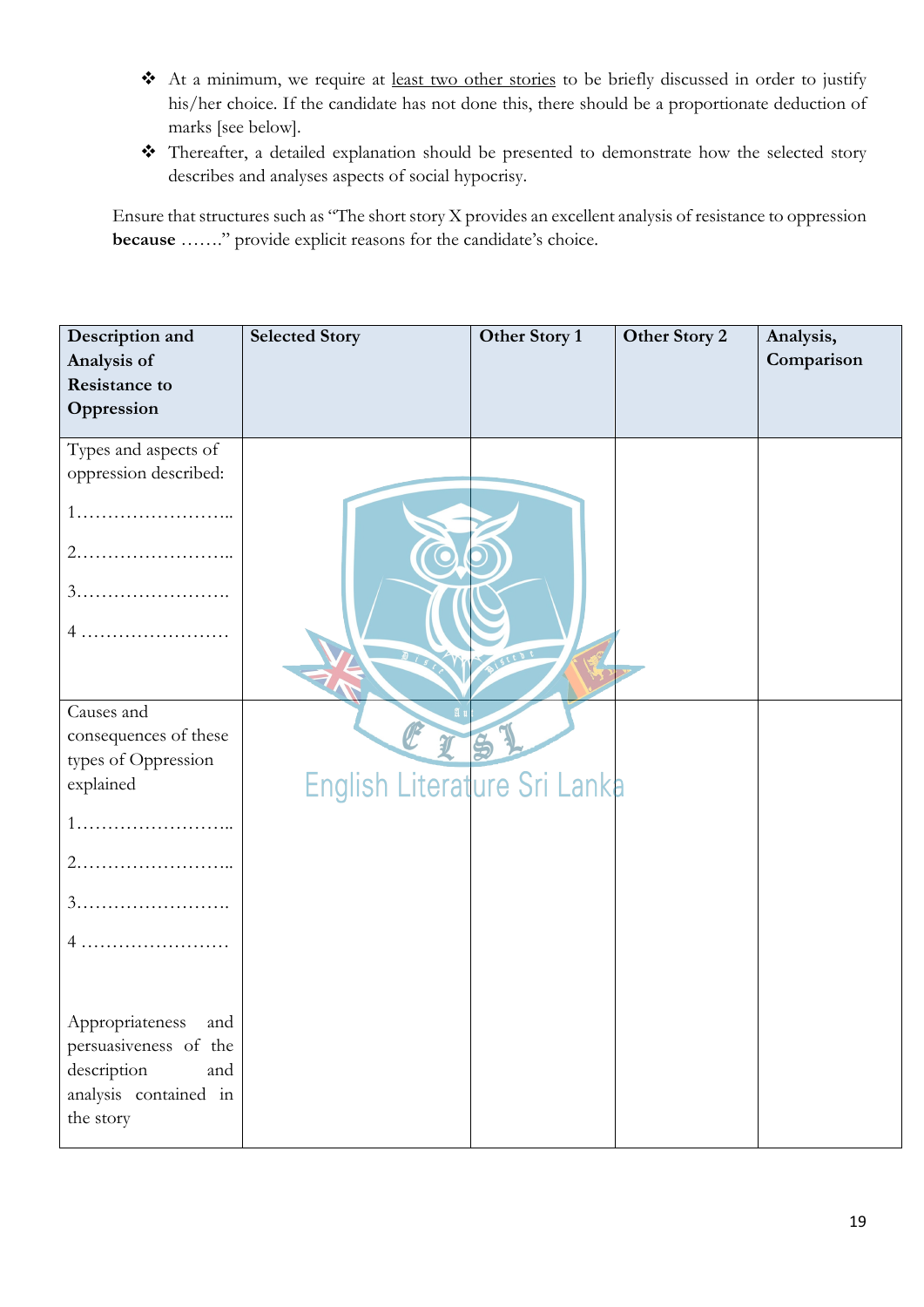- \* At a minimum, we require at <u>least two other stories</u> to be briefly discussed in order to justify his/her choice. If the candidate has not done this, there should be a proportionate deduction of marks [see below].
- \* Thereafter, a detailed explanation should be presented to demonstrate how the selected story describes and analyses aspects of social hypocrisy.

Ensure that structures such as "The short story X provides an excellent analysis of resistance to oppression **because** ……." provide explicit reasons for the candidate's choice.

| Description and        | <b>Selected Story</b>        | Other Story 1 | Other Story 2 | Analysis,  |
|------------------------|------------------------------|---------------|---------------|------------|
| Analysis of            |                              |               |               | Comparison |
| <b>Resistance to</b>   |                              |               |               |            |
| Oppression             |                              |               |               |            |
| Types and aspects of   |                              |               |               |            |
| oppression described:  |                              |               |               |            |
|                        |                              |               |               |            |
|                        |                              |               |               |            |
|                        |                              |               |               |            |
|                        |                              |               |               |            |
|                        |                              |               |               |            |
| Causes and             |                              |               |               |            |
| consequences of these  |                              |               |               |            |
| types of Oppression    |                              |               |               |            |
| explained              | English Literature Sri Lanka |               |               |            |
|                        |                              |               |               |            |
|                        |                              |               |               |            |
|                        |                              |               |               |            |
| 4                      |                              |               |               |            |
|                        |                              |               |               |            |
| and<br>Appropriateness |                              |               |               |            |
| persuasiveness of the  |                              |               |               |            |
| description<br>and     |                              |               |               |            |
| analysis contained in  |                              |               |               |            |
| the story              |                              |               |               |            |
|                        |                              |               |               |            |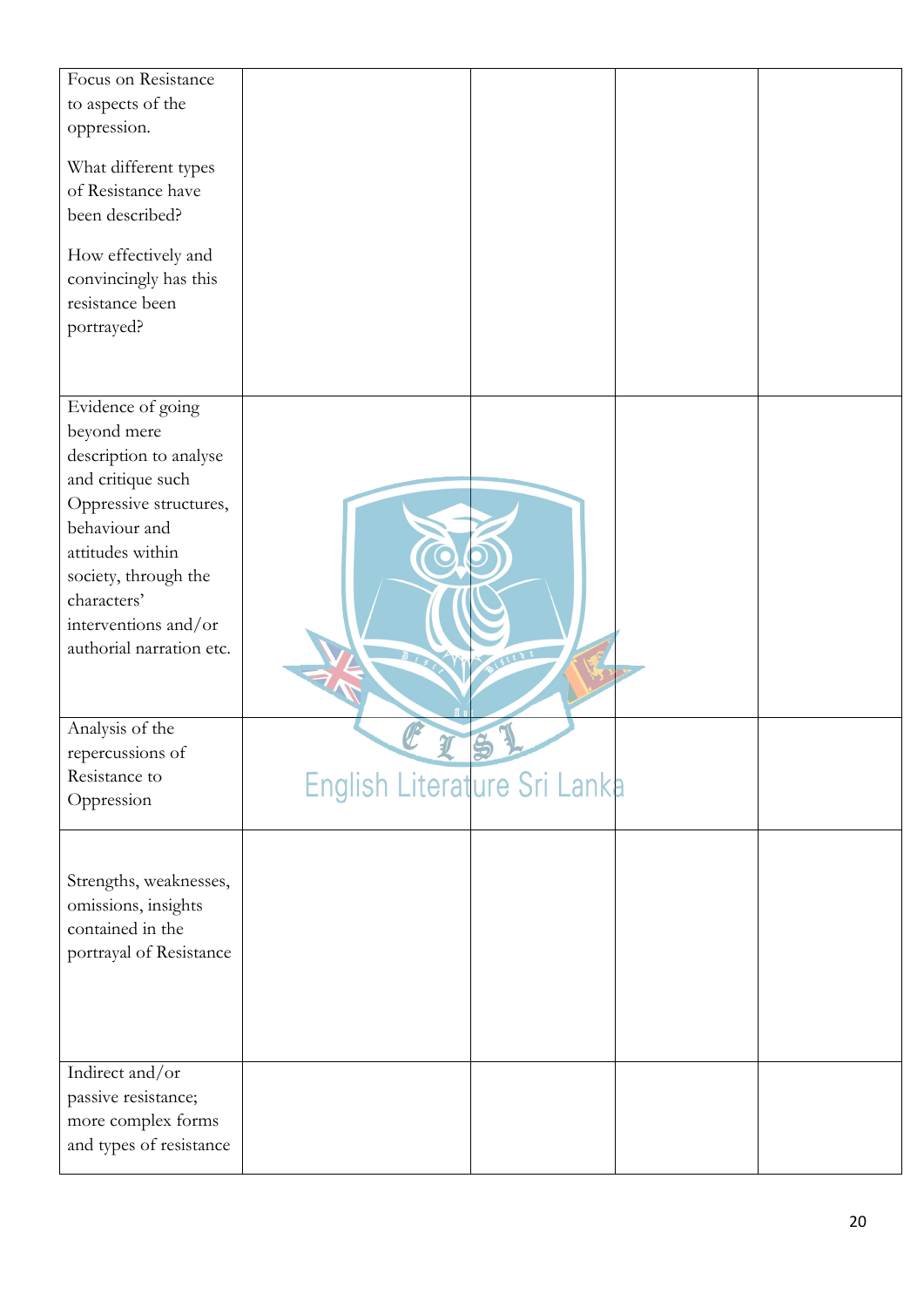| Focus on Resistance<br>to aspects of the<br>oppression.<br>What different types<br>of Resistance have<br>been described?<br>How effectively and                                                                                           |                              |  |
|-------------------------------------------------------------------------------------------------------------------------------------------------------------------------------------------------------------------------------------------|------------------------------|--|
| convincingly has this<br>resistance been<br>portrayed?                                                                                                                                                                                    |                              |  |
| Evidence of going<br>beyond mere<br>description to analyse<br>and critique such<br>Oppressive structures,<br>behaviour and<br>attitudes within<br>society, through the<br>characters'<br>interventions and/or<br>authorial narration etc. |                              |  |
| Analysis of the<br>repercussions of<br>Resistance to<br>Oppression                                                                                                                                                                        | English Literature Sri Lanka |  |
| Strengths, weaknesses,<br>omissions, insights<br>contained in the<br>portrayal of Resistance                                                                                                                                              |                              |  |
| Indirect and/or<br>passive resistance;<br>more complex forms<br>and types of resistance                                                                                                                                                   |                              |  |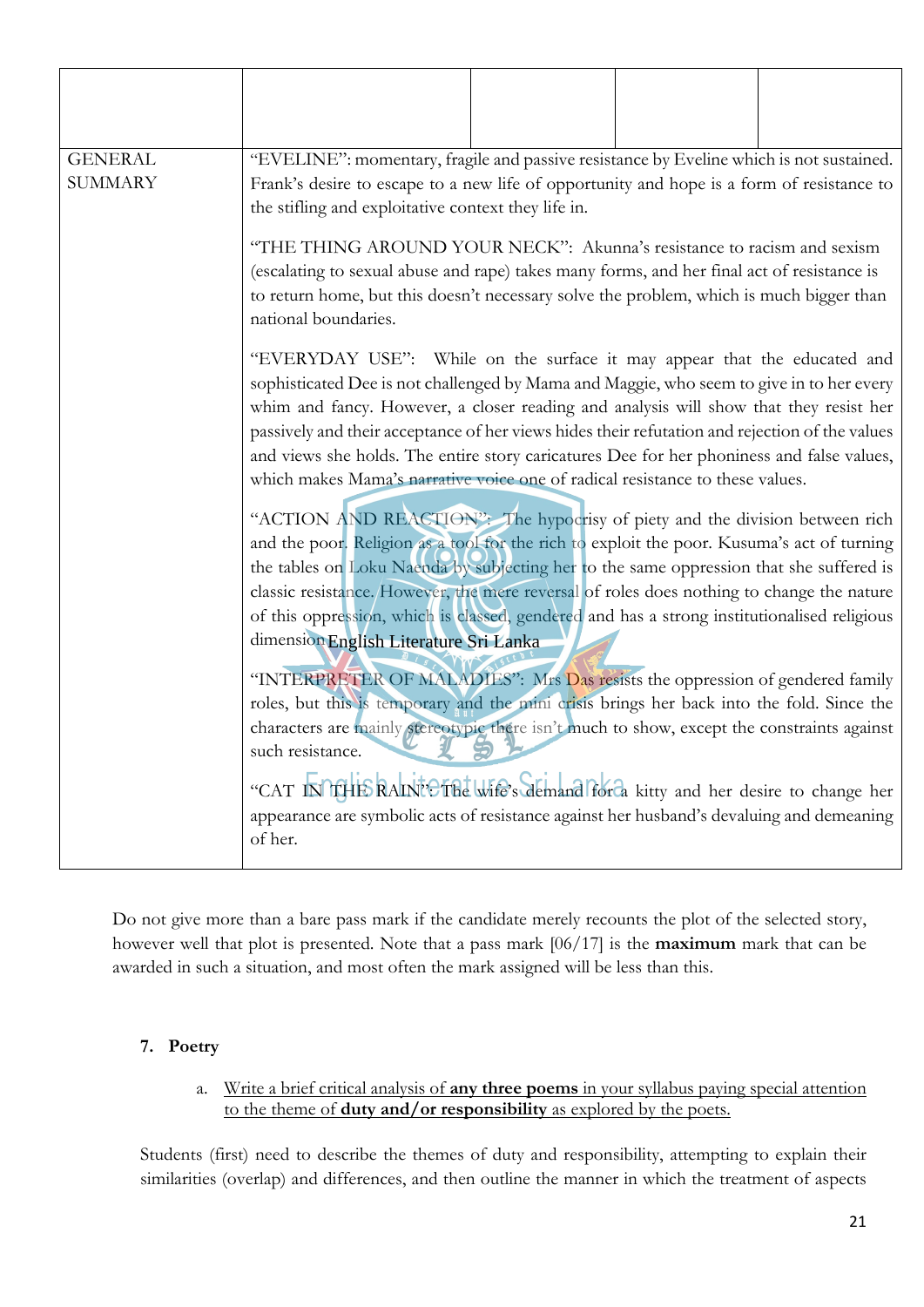| <b>GENERAL</b><br><b>SUMMARY</b> | "EVELINE": momentary, fragile and passive resistance by Eveline which is not sustained.<br>Frank's desire to escape to a new life of opportunity and hope is a form of resistance to<br>the stifling and exploitative context they life in.<br>"THE THING AROUND YOUR NECK": Akunna's resistance to racism and sexism<br>(escalating to sexual abuse and rape) takes many forms, and her final act of resistance is<br>to return home, but this doesn't necessary solve the problem, which is much bigger than                                                        |                                                                                                                                                                                                                                                                                                                                                                                                                                                                                                            |  |  |  |  |
|----------------------------------|-----------------------------------------------------------------------------------------------------------------------------------------------------------------------------------------------------------------------------------------------------------------------------------------------------------------------------------------------------------------------------------------------------------------------------------------------------------------------------------------------------------------------------------------------------------------------|------------------------------------------------------------------------------------------------------------------------------------------------------------------------------------------------------------------------------------------------------------------------------------------------------------------------------------------------------------------------------------------------------------------------------------------------------------------------------------------------------------|--|--|--|--|
|                                  | national boundaries.<br>"EVERYDAY USE": While on the surface it may appear that the educated and<br>sophisticated Dee is not challenged by Mama and Maggie, who seem to give in to her every<br>whim and fancy. However, a closer reading and analysis will show that they resist her<br>passively and their acceptance of her views hides their refutation and rejection of the values<br>and views she holds. The entire story caricatures Dee for her phoniness and false values,<br>which makes Mama's narrative voice one of radical resistance to these values. |                                                                                                                                                                                                                                                                                                                                                                                                                                                                                                            |  |  |  |  |
|                                  |                                                                                                                                                                                                                                                                                                                                                                                                                                                                                                                                                                       | "ACTION AND REACTION": The hypocrisy of piety and the division between rich<br>and the poor. Religion as a tool for the rich to exploit the poor. Kusuma's act of turning<br>the tables on Loku Naenda by subjecting her to the same oppression that she suffered is<br>classic resistance. However, the mere reversal of roles does nothing to change the nature<br>of this oppression, which is classed, gendered and has a strong institutionalised religious<br>dimension English Literature Sri Lanka |  |  |  |  |
|                                  | "INTERPRETER OF MALADIES": Mrs Das resists the oppression of gendered family<br>roles, but this is temporary and the mini crisis brings her back into the fold. Since the<br>characters are mainly stereotypic there isn't much to show, except the constraints against<br>such resistance.<br>"CAT INTHE RAINE The wife's demand for a kitty and her desire to change her                                                                                                                                                                                            |                                                                                                                                                                                                                                                                                                                                                                                                                                                                                                            |  |  |  |  |
|                                  | appearance are symbolic acts of resistance against her husband's devaluing and demeaning<br>of her.                                                                                                                                                                                                                                                                                                                                                                                                                                                                   |                                                                                                                                                                                                                                                                                                                                                                                                                                                                                                            |  |  |  |  |

Do not give more than a bare pass mark if the candidate merely recounts the plot of the selected story, however well that plot is presented. Note that a pass mark [06/17] is the **maximum** mark that can be awarded in such a situation, and most often the mark assigned will be less than this.

# **7. Poetry**

a. Write a brief critical analysis of **any three poems** in your syllabus paying special attention to the theme of **duty and/or responsibility** as explored by the poets.

Students (first) need to describe the themes of duty and responsibility, attempting to explain their similarities (overlap) and differences, and then outline the manner in which the treatment of aspects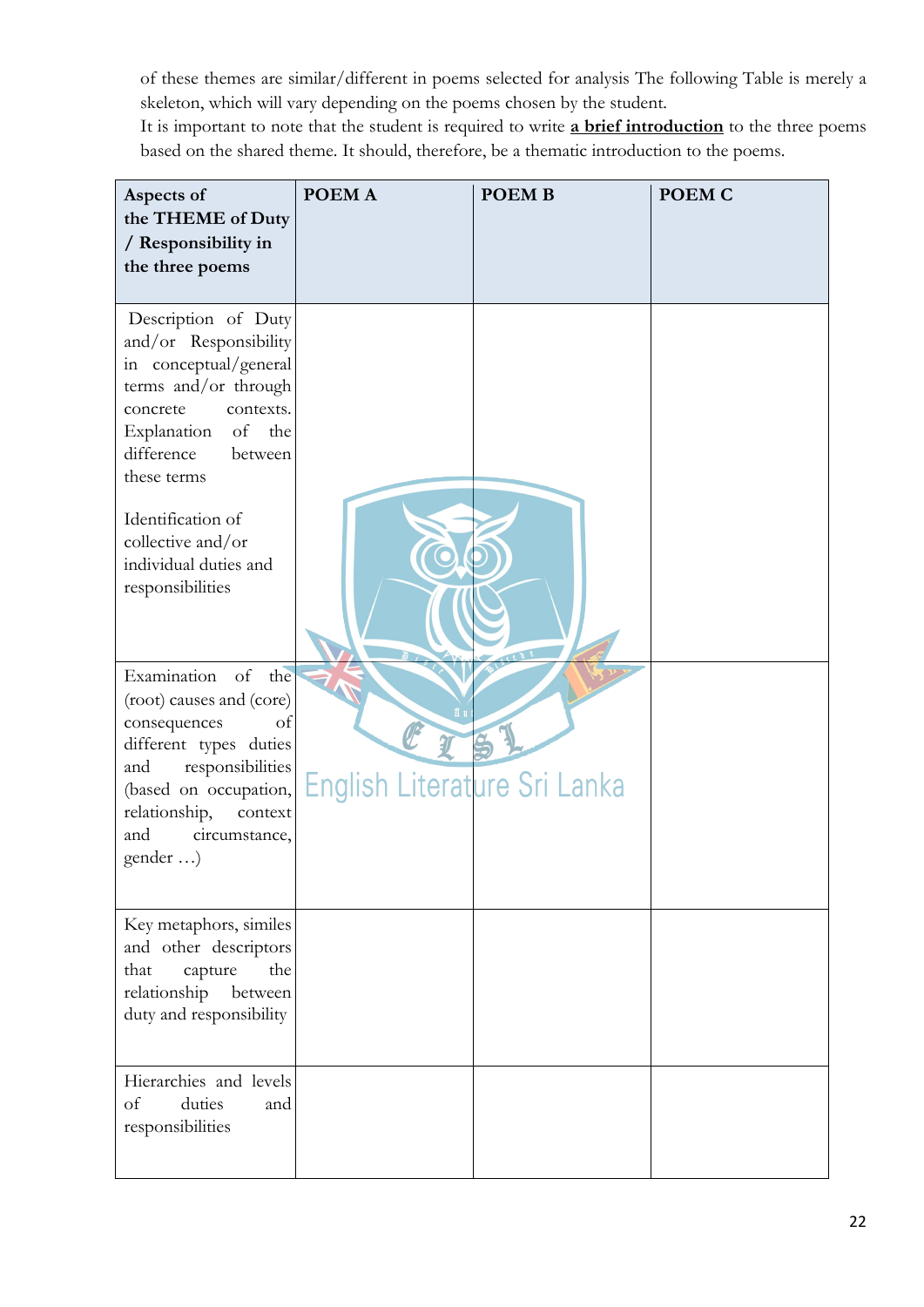of these themes are similar/different in poems selected for analysis The following Table is merely a skeleton, which will vary depending on the poems chosen by the student.

It is important to note that the student is required to write **a brief introduction** to the three poems based on the shared theme. It should, therefore, be a thematic introduction to the poems.

| Aspects of<br>the THEME of Duty<br>/ Responsibility in<br>the three poems                                                                                                                                          | POEM A                       | <b>POEMB</b> | <b>POEM C</b> |
|--------------------------------------------------------------------------------------------------------------------------------------------------------------------------------------------------------------------|------------------------------|--------------|---------------|
| Description of Duty<br>and/or Responsibility<br>in conceptual/general<br>terms and/or through<br>contexts.<br>concrete<br>Explanation<br>of<br>the<br>difference<br>between<br>these terms<br>Identification of    |                              |              |               |
| collective and/or<br>individual duties and<br>responsibilities                                                                                                                                                     |                              |              |               |
| Examination of the<br>(root) causes and (core)<br>consequences<br>of<br>different types duties<br>responsibilities<br>and<br>(based on occupation,<br>relationship,<br>context<br>circumstance,<br>and<br>gender ) | English Literature Sri Lanka |              |               |
| Key metaphors, similes<br>and other descriptors<br>the<br>that<br>capture<br>relationship<br>between<br>duty and responsibility                                                                                    |                              |              |               |
| Hierarchies and levels<br>of<br>duties<br>and<br>responsibilities                                                                                                                                                  |                              |              |               |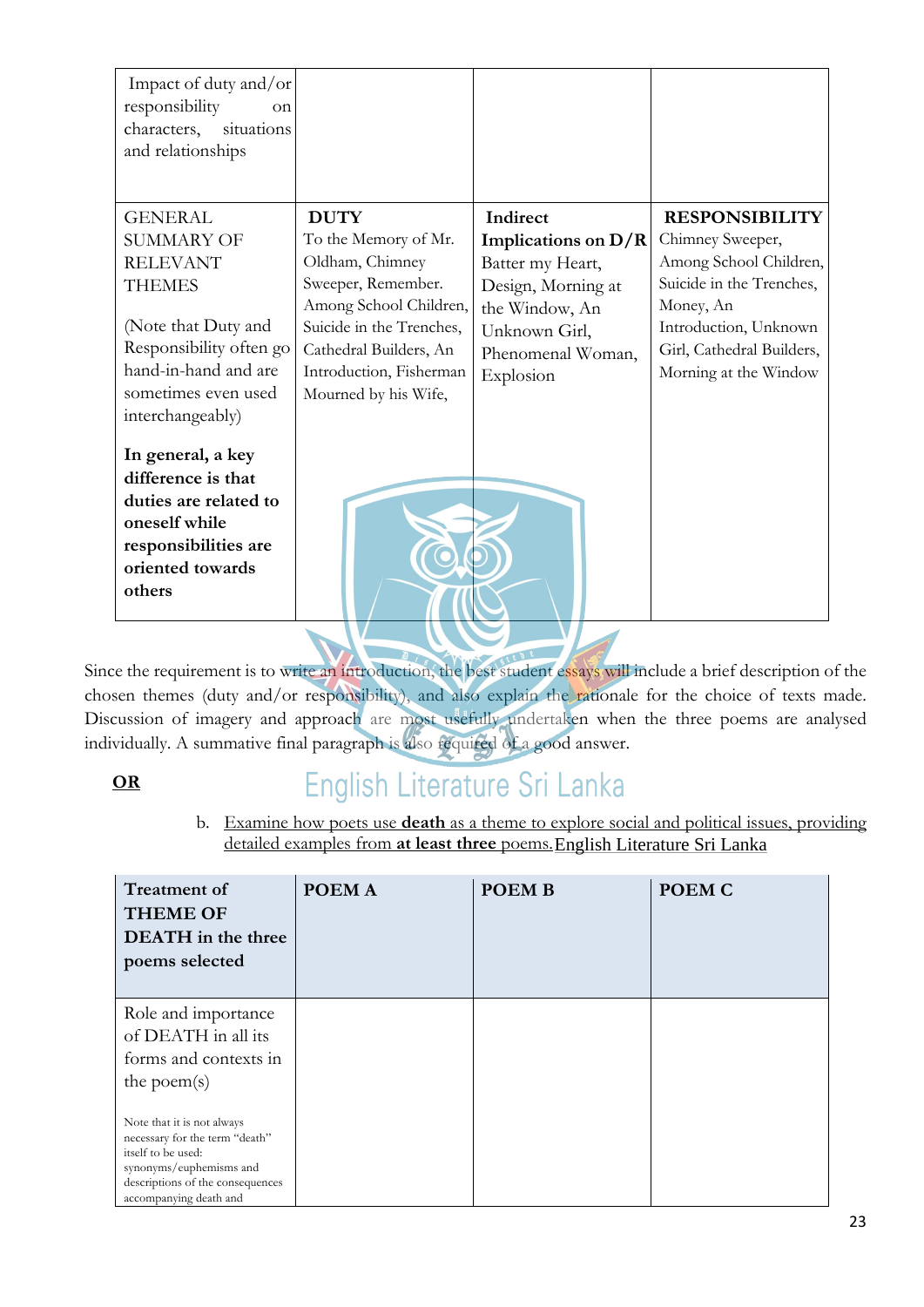| Impact of duty and/or<br>responsibility<br>on<br>situations<br>characters,<br>and relationships                                                                                                                                                                                                                               |                                                                                                                                                                                                                 |                                                                                                                                                  |                                                                                                                                                                                             |
|-------------------------------------------------------------------------------------------------------------------------------------------------------------------------------------------------------------------------------------------------------------------------------------------------------------------------------|-----------------------------------------------------------------------------------------------------------------------------------------------------------------------------------------------------------------|--------------------------------------------------------------------------------------------------------------------------------------------------|---------------------------------------------------------------------------------------------------------------------------------------------------------------------------------------------|
| <b>GENERAL</b><br><b>SUMMARY OF</b><br><b>RELEVANT</b><br><b>THEMES</b><br>(Note that Duty and<br>Responsibility often go<br>hand-in-hand and are<br>sometimes even used<br>interchangeably)<br>In general, a key<br>difference is that<br>duties are related to<br>oneself while<br>responsibilities are<br>oriented towards | <b>DUTY</b><br>To the Memory of Mr.<br>Oldham, Chimney<br>Sweeper, Remember.<br>Among School Children,<br>Suicide in the Trenches,<br>Cathedral Builders, An<br>Introduction, Fisherman<br>Mourned by his Wife, | Indirect<br>Implications on $D/R$<br>Batter my Heart,<br>Design, Morning at<br>the Window, An<br>Unknown Girl,<br>Phenomenal Woman,<br>Explosion | <b>RESPONSIBILITY</b><br>Chimney Sweeper,<br>Among School Children,<br>Suicide in the Trenches,<br>Money, An<br>Introduction, Unknown<br>Girl, Cathedral Builders,<br>Morning at the Window |
| others                                                                                                                                                                                                                                                                                                                        |                                                                                                                                                                                                                 |                                                                                                                                                  |                                                                                                                                                                                             |

Since the requirement is to write an introduction, the best student essays will include a brief description of the chosen themes (duty and/or responsibility), and also explain the rationale for the choice of texts made. Discussion of imagery and approach are most usefully undertaken when the three poems are analysed individually. A summative final paragraph is also required of a good answer.

# **OR**

# English Literature Sri Lanka

b. Examine how poets use **death** as a theme to explore social and political issues, providing detailed examples from **at least three** poems. English Literature Sri Lanka

| <b>Treatment of</b><br><b>THEME OF</b><br>DEATH in the three<br>poems selected                                                                                              | POEM A | <b>POEMB</b> | POEM C |
|-----------------------------------------------------------------------------------------------------------------------------------------------------------------------------|--------|--------------|--------|
| Role and importance<br>of DEATH in all its<br>forms and contexts in<br>the poem $(s)$                                                                                       |        |              |        |
| Note that it is not always<br>necessary for the term "death"<br>itself to be used:<br>synonyms/euphemisms and<br>descriptions of the consequences<br>accompanying death and |        |              |        |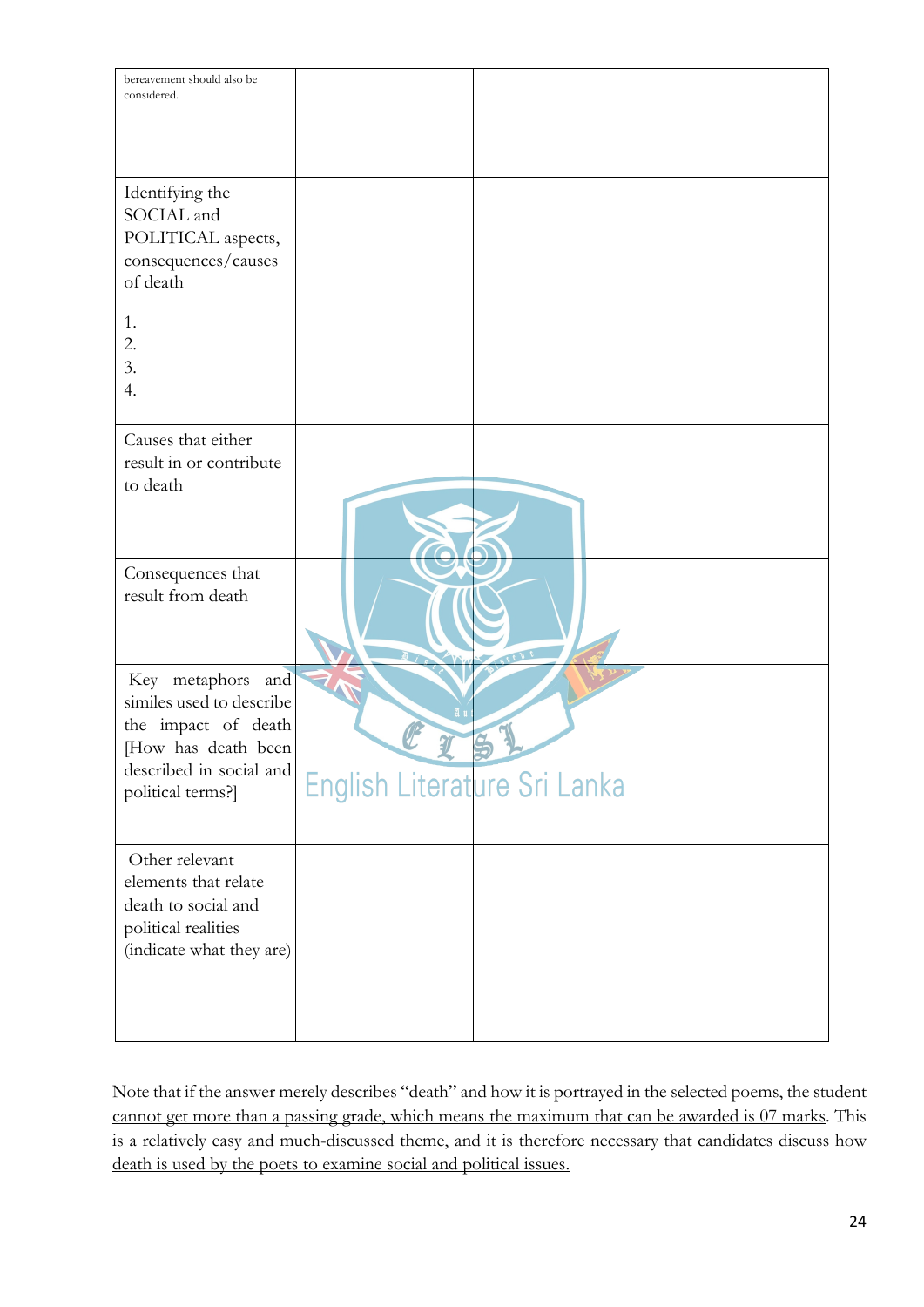| bereavement should also be<br>considered.                                                                                                      |                              |  |
|------------------------------------------------------------------------------------------------------------------------------------------------|------------------------------|--|
| Identifying the<br>SOCIAL and<br>POLITICAL aspects,<br>consequences/causes<br>of death                                                         |                              |  |
| 1.<br>2.<br>3.<br>4.                                                                                                                           |                              |  |
| Causes that either<br>result in or contribute<br>to death                                                                                      |                              |  |
| Consequences that<br>result from death                                                                                                         |                              |  |
| Key metaphors<br>and<br>similes used to describe<br>the impact of death<br>[How has death been<br>described in social and<br>political terms?] | English Literature Sri Lanka |  |
| Other relevant<br>elements that relate<br>death to social and<br>political realities<br>(indicate what they are)                               |                              |  |

Note that if the answer merely describes "death" and how it is portrayed in the selected poems, the student cannot get more than a passing grade, which means the maximum that can be awarded is 07 marks. This is a relatively easy and much-discussed theme, and it is therefore necessary that candidates discuss how death is used by the poets to examine social and political issues.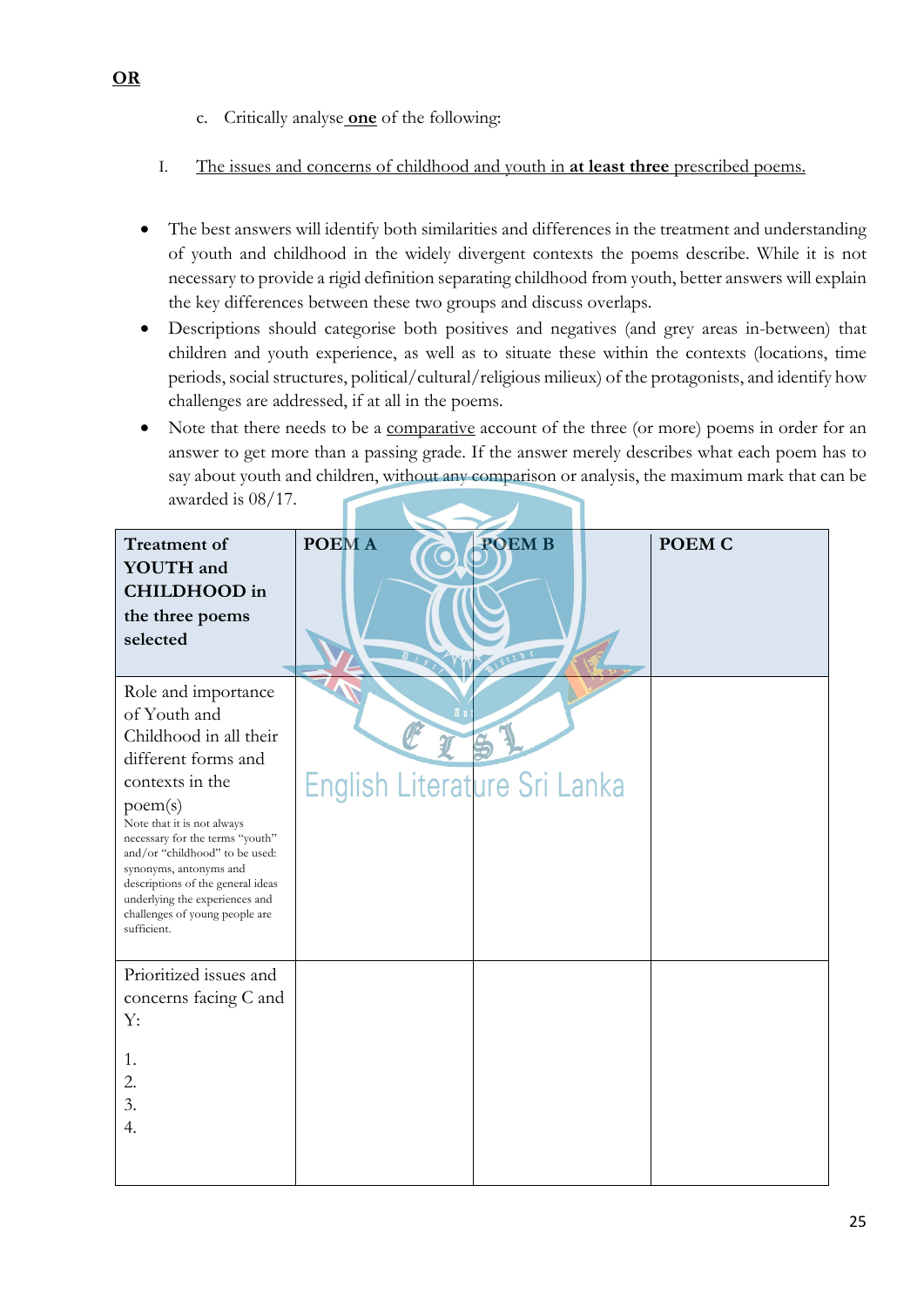- c. Critically analyse **one** of the following:
- I. The issues and concerns of childhood and youth in **at least three** prescribed poems.
- The best answers will identify both similarities and differences in the treatment and understanding of youth and childhood in the widely divergent contexts the poems describe. While it is not necessary to provide a rigid definition separating childhood from youth, better answers will explain the key differences between these two groups and discuss overlaps.
- Descriptions should categorise both positives and negatives (and grey areas in-between) that children and youth experience, as well as to situate these within the contexts (locations, time periods, social structures, political/cultural/religious milieux) of the protagonists, and identify how challenges are addressed, if at all in the poems.
- Note that there needs to be a comparative account of the three (or more) poems in order for an answer to get more than a passing grade. If the answer merely describes what each poem has to say about youth and children, without any comparison or analysis, the maximum mark that can be awarded is 08/17.

| <b>Treatment of</b><br><b>YOUTH</b> and<br><b>CHILDHOOD</b> in<br>the three poems<br>selected                                                                                                                                                                                                                                                                           | <b>POEMA</b><br>DISCO        | <b>POEMB</b> | POEM C |
|-------------------------------------------------------------------------------------------------------------------------------------------------------------------------------------------------------------------------------------------------------------------------------------------------------------------------------------------------------------------------|------------------------------|--------------|--------|
| Role and importance<br>of Youth and<br>Childhood in all their<br>different forms and<br>contexts in the<br>poem(s)<br>Note that it is not always<br>necessary for the terms "youth"<br>and/or "childhood" to be used:<br>synonyms, antonyms and<br>descriptions of the general ideas<br>underlying the experiences and<br>challenges of young people are<br>sufficient. | English Literature Sri Lanka |              |        |
| Prioritized issues and<br>concerns facing C and<br>Y:<br>1.<br>2.<br>3.<br>4.                                                                                                                                                                                                                                                                                           |                              |              |        |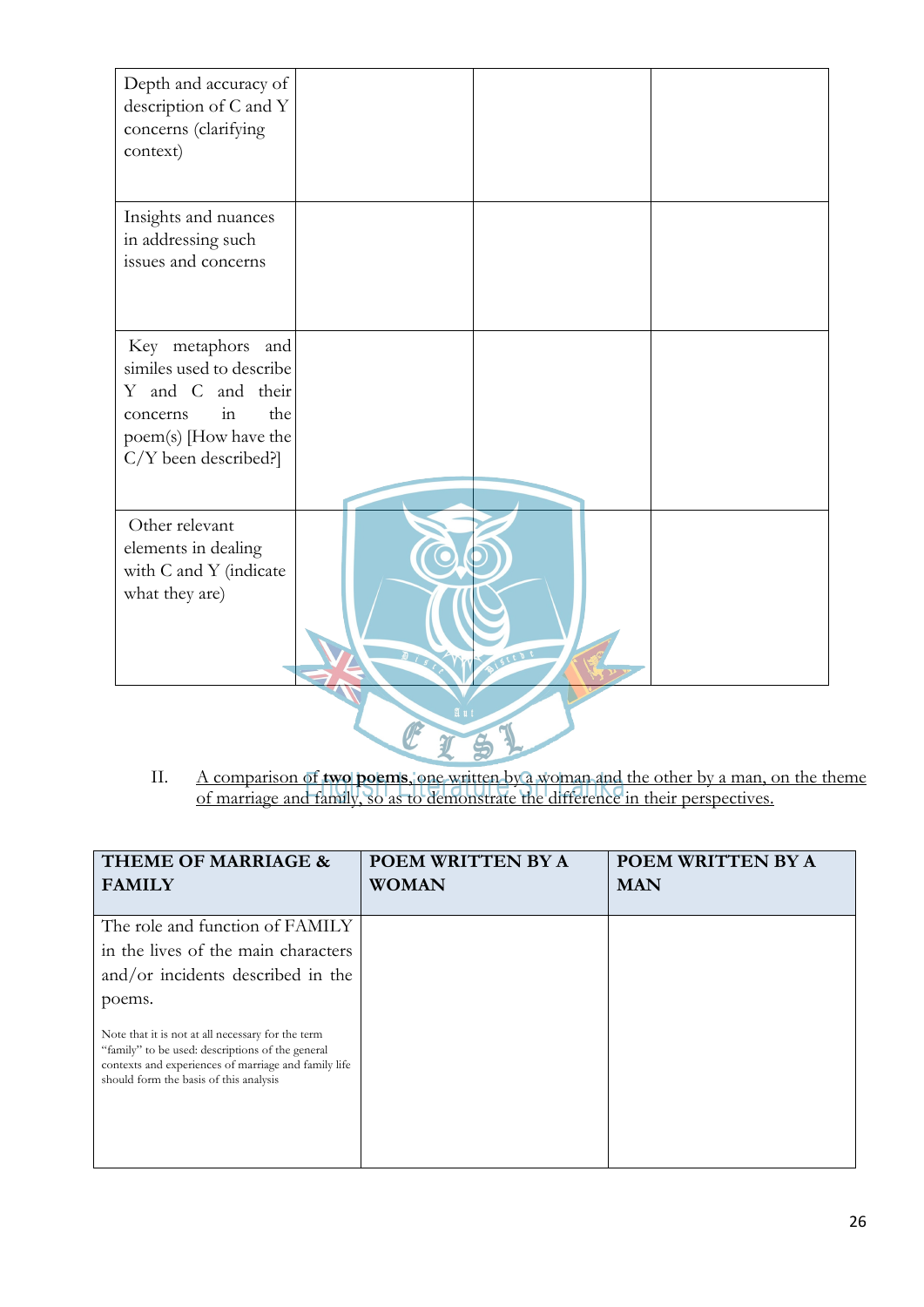| Depth and accuracy of<br>description of C and Y<br>concerns (clarifying<br>context)                                                                         |                 |  |
|-------------------------------------------------------------------------------------------------------------------------------------------------------------|-----------------|--|
| Insights and nuances<br>in addressing such<br>issues and concerns                                                                                           |                 |  |
| Key metaphors<br>and<br>similes used to describe<br>Y and C and their<br>the<br>$\overline{m}$<br>concerns<br>poem(s) [How have the<br>C/Y been described?] |                 |  |
| Other relevant<br>elements in dealing<br>with C and Y (indicate<br>what they are)                                                                           | <b>AISTED C</b> |  |
|                                                                                                                                                             |                 |  |

II. A comparison of **two poems**, one written by a woman and the other by a man, on the theme of marriage and family, so as to demonstrate the difference in their perspectives.

| THEME OF MARRIAGE &                                                                                                                                                                                     | POEM WRITTEN BY A | POEM WRITTEN BY A |
|---------------------------------------------------------------------------------------------------------------------------------------------------------------------------------------------------------|-------------------|-------------------|
| <b>FAMILY</b>                                                                                                                                                                                           | <b>WOMAN</b>      | <b>MAN</b>        |
| The role and function of FAMILY                                                                                                                                                                         |                   |                   |
| in the lives of the main characters<br>and/or incidents described in the                                                                                                                                |                   |                   |
| poems.                                                                                                                                                                                                  |                   |                   |
| Note that it is not at all necessary for the term<br>"family" to be used: descriptions of the general<br>contexts and experiences of marriage and family life<br>should form the basis of this analysis |                   |                   |
|                                                                                                                                                                                                         |                   |                   |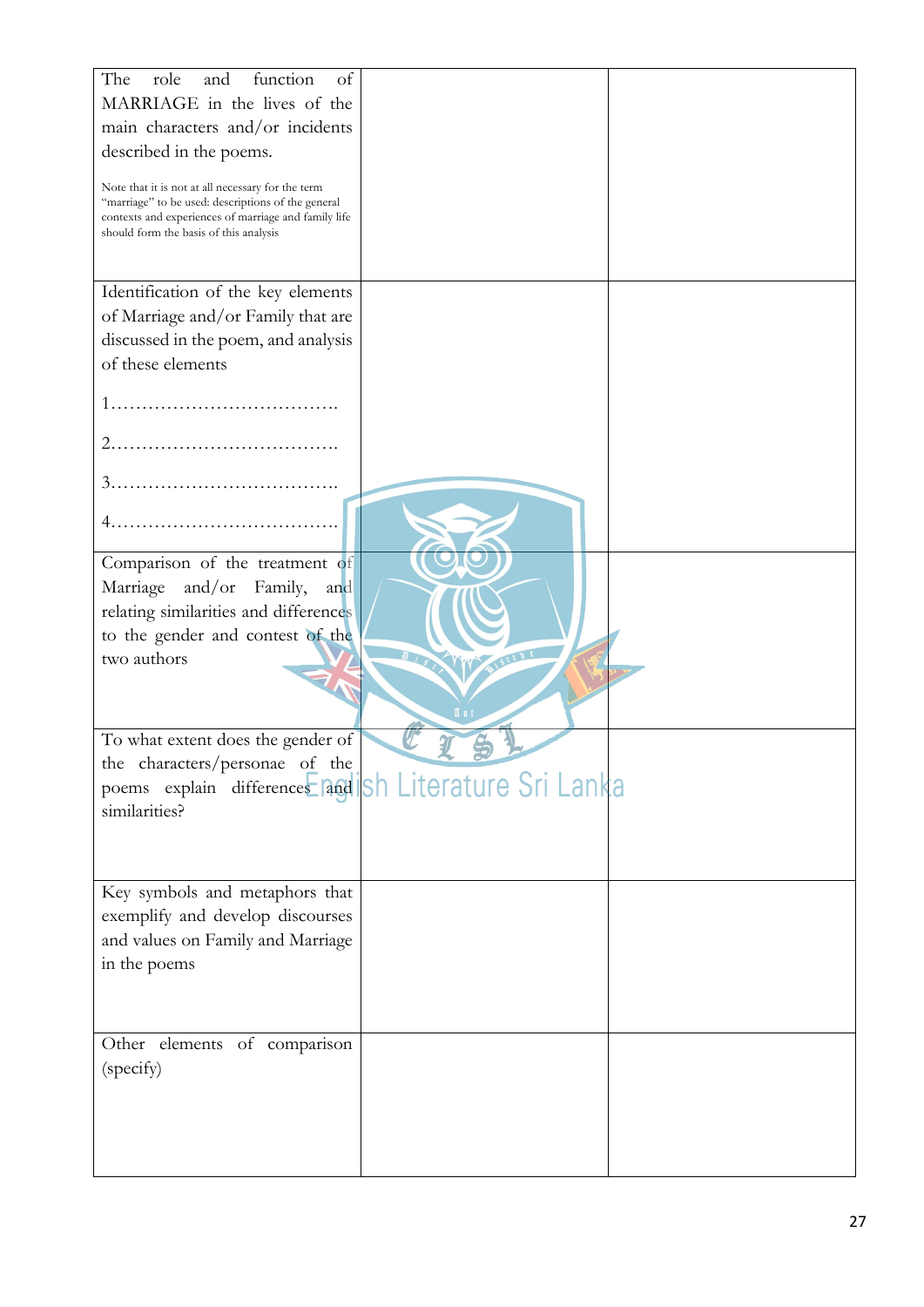| function<br>The<br>role<br>of<br>and                                                                                                                                                                      |    |  |
|-----------------------------------------------------------------------------------------------------------------------------------------------------------------------------------------------------------|----|--|
| MARRIAGE in the lives of the                                                                                                                                                                              |    |  |
| main characters and/or incidents                                                                                                                                                                          |    |  |
| described in the poems.                                                                                                                                                                                   |    |  |
|                                                                                                                                                                                                           |    |  |
| Note that it is not at all necessary for the term<br>"marriage" to be used: descriptions of the general<br>contexts and experiences of marriage and family life<br>should form the basis of this analysis |    |  |
| Identification of the key elements                                                                                                                                                                        |    |  |
| of Marriage and/or Family that are                                                                                                                                                                        |    |  |
| discussed in the poem, and analysis                                                                                                                                                                       |    |  |
| of these elements                                                                                                                                                                                         |    |  |
|                                                                                                                                                                                                           |    |  |
|                                                                                                                                                                                                           |    |  |
|                                                                                                                                                                                                           |    |  |
|                                                                                                                                                                                                           |    |  |
|                                                                                                                                                                                                           |    |  |
|                                                                                                                                                                                                           |    |  |
| Comparison of the treatment of                                                                                                                                                                            |    |  |
| Marriage<br>and/or<br>Family,<br>and                                                                                                                                                                      |    |  |
| relating similarities and differences                                                                                                                                                                     |    |  |
| to the gender and contest of the                                                                                                                                                                          |    |  |
| two authors                                                                                                                                                                                               |    |  |
|                                                                                                                                                                                                           |    |  |
|                                                                                                                                                                                                           | Яu |  |
| To what extent does the gender of                                                                                                                                                                         |    |  |
| the characters/personae of the                                                                                                                                                                            |    |  |
| poems explain differences and sh Literature Sri Lanka                                                                                                                                                     |    |  |
| similarities?                                                                                                                                                                                             |    |  |
|                                                                                                                                                                                                           |    |  |
|                                                                                                                                                                                                           |    |  |
| Key symbols and metaphors that                                                                                                                                                                            |    |  |
| exemplify and develop discourses                                                                                                                                                                          |    |  |
| and values on Family and Marriage                                                                                                                                                                         |    |  |
| in the poems                                                                                                                                                                                              |    |  |
|                                                                                                                                                                                                           |    |  |
|                                                                                                                                                                                                           |    |  |
| Other elements of comparison                                                                                                                                                                              |    |  |
| (specify)                                                                                                                                                                                                 |    |  |
|                                                                                                                                                                                                           |    |  |
|                                                                                                                                                                                                           |    |  |
|                                                                                                                                                                                                           |    |  |
|                                                                                                                                                                                                           |    |  |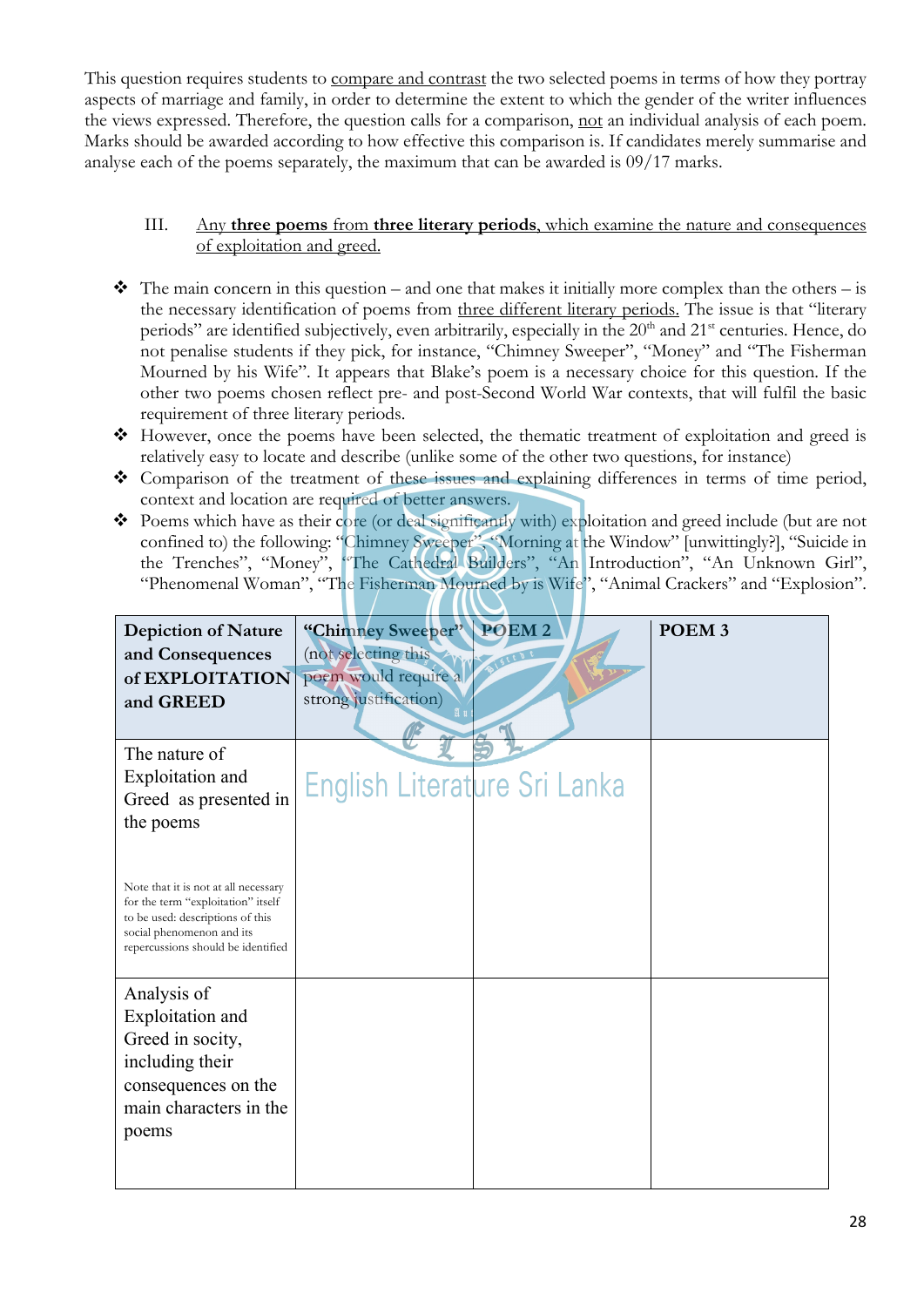This question requires students to compare and contrast the two selected poems in terms of how they portray aspects of marriage and family, in order to determine the extent to which the gender of the writer influences the views expressed. Therefore, the question calls for a comparison, not an individual analysis of each poem. Marks should be awarded according to how effective this comparison is. If candidates merely summarise and analyse each of the poems separately, the maximum that can be awarded is 09/17 marks.

#### III. Any **three poems** from **three literary periods**, which examine the nature and consequences of exploitation and greed.

- $\cdot \cdot$  The main concern in this question and one that makes it initially more complex than the others is the necessary identification of poems from three different literary periods. The issue is that "literary periods" are identified subjectively, even arbitrarily, especially in the 20<sup>th</sup> and 21<sup>st</sup> centuries. Hence, do not penalise students if they pick, for instance, "Chimney Sweeper", "Money" and "The Fisherman Mourned by his Wife". It appears that Blake's poem is a necessary choice for this question. If the other two poems chosen reflect pre- and post-Second World War contexts, that will fulfil the basic requirement of three literary periods.
- v However, once the poems have been selected, the thematic treatment of exploitation and greed is relatively easy to locate and describe (unlike some of the other two questions, for instance)
- v Comparison of the treatment of these issues and explaining differences in terms of time period, context and location are required of better answers.
- \* Poems which have as their core (or deal significantly with) exploitation and greed include (but are not confined to) the following: "Chimney Sweeper", "Morning at the Window" [unwittingly?], "Suicide in the Trenches", "Money", "The Cathedral Builders", "An Introduction", "An Unknown Girl", "Phenomenal Woman", "The Fisherman Mourned by is Wife", "Animal Crackers" and "Explosion".

| <b>Depiction of Nature</b><br>and Consequences<br>of EXPLOITATION<br>and GREED                                                                                                    | "Chimney Sweeper"<br>(not selecting this<br>poem would require a<br>strong justification) | POEM <sub>2</sub> | POEM <sub>3</sub> |
|-----------------------------------------------------------------------------------------------------------------------------------------------------------------------------------|-------------------------------------------------------------------------------------------|-------------------|-------------------|
| The nature of<br><b>Exploitation</b> and<br>Greed as presented in<br>the poems                                                                                                    | English Literature Sri Lanka                                                              |                   |                   |
| Note that it is not at all necessary<br>for the term "exploitation" itself<br>to be used: descriptions of this<br>social phenomenon and its<br>repercussions should be identified |                                                                                           |                   |                   |
| Analysis of<br>Exploitation and<br>Greed in socity,<br>including their<br>consequences on the<br>main characters in the<br>poems                                                  |                                                                                           |                   |                   |